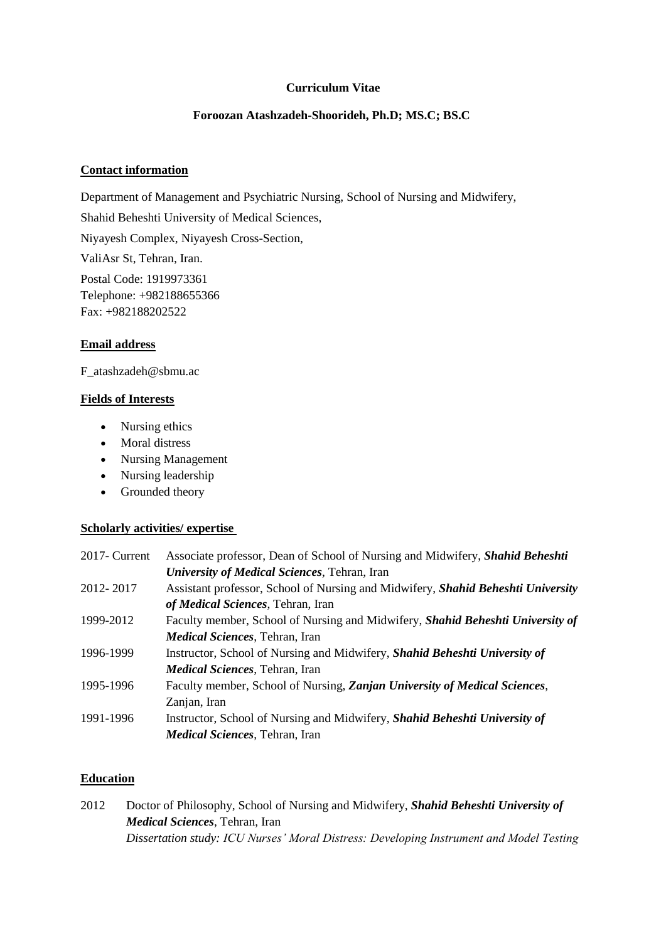# **Curriculum Vitae**

### **Foroozan Atashzadeh-Shoorideh, Ph.D; MS.C; BS.C**

## **Contact information**

Department of Management and Psychiatric Nursing, School of Nursing and Midwifery,

Shahid Beheshti University of Medical Sciences,

Niyayesh Complex, Niyayesh Cross-Section,

ValiAsr St, Tehran, Iran.

Postal Code: 1919973361 Telephone: +982188655366 Fax: +982188202522

# **Email address**

F\_atashzadeh@sbmu.ac

## **Fields of Interests**

- Nursing ethics
- Moral distress
- Nursing Management
- Nursing leadership
- Grounded theory

### **Scholarly activities/ expertise**

| 2017- Current | Associate professor, Dean of School of Nursing and Midwifery, Shahid Beheshti    |
|---------------|----------------------------------------------------------------------------------|
|               | <b>University of Medical Sciences</b> , Tehran, Iran                             |
| 2012-2017     | Assistant professor, School of Nursing and Midwifery, Shahid Beheshti University |
|               | of Medical Sciences, Tehran, Iran                                                |
| 1999-2012     | Faculty member, School of Nursing and Midwifery, Shahid Beheshti University of   |
|               | <b>Medical Sciences</b> , Tehran, Iran                                           |
| 1996-1999     | Instructor, School of Nursing and Midwifery, Shahid Beheshti University of       |
|               | <i>Medical Sciences</i> , Tehran, Iran                                           |
| 1995-1996     | Faculty member, School of Nursing, Zanjan University of Medical Sciences,        |
|               | Zanjan, Iran                                                                     |
| 1991-1996     | Instructor, School of Nursing and Midwifery, Shahid Beheshti University of       |
|               | <i>Medical Sciences</i> , Tehran, Iran                                           |

# **Education**

2012 Doctor of Philosophy, School of Nursing and Midwifery, *Shahid Beheshti University of Medical Sciences*, Tehran, Iran *Dissertation study: ICU Nurses' Moral Distress: Developing Instrument and Model Testing*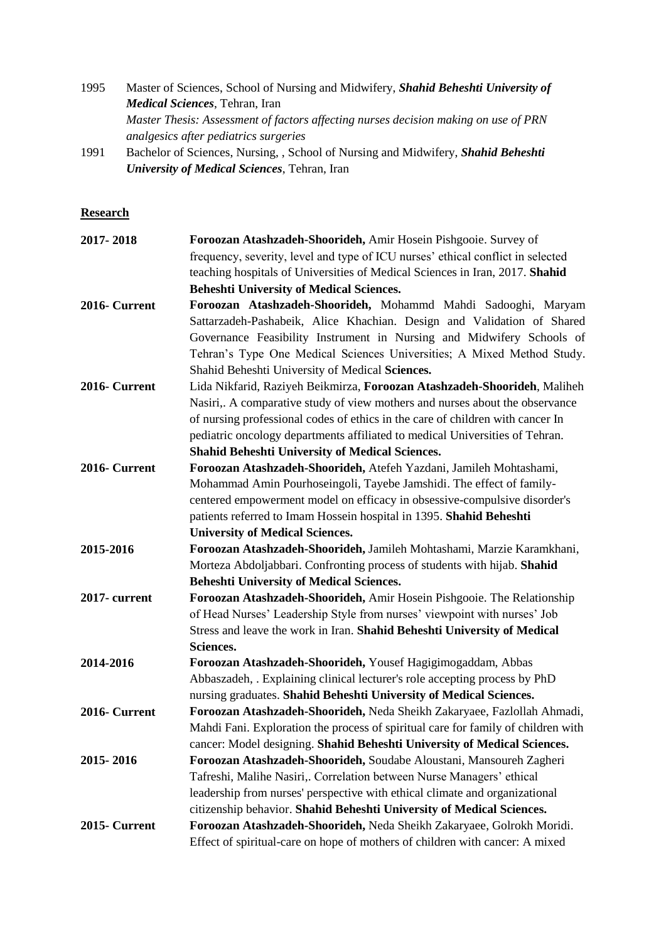| 1995 | Master of Sciences, School of Nursing and Midwifery, Shahid Beheshti University of  |
|------|-------------------------------------------------------------------------------------|
|      | <i>Medical Sciences</i> , Tehran, Iran                                              |
|      | Master Thesis: Assessment of factors affecting nurses decision making on use of PRN |
|      | analgesics after pediatrics surgeries                                               |
| 1991 | Bachelor of Sciences, Nursing, , School of Nursing and Midwifery, Shahid Beheshti   |
|      | <b>University of Medical Sciences</b> , Tehran, Iran                                |

# **Research**

| 2017-2018     | Foroozan Atashzadeh-Shoorideh, Amir Hosein Pishgooie. Survey of                   |
|---------------|-----------------------------------------------------------------------------------|
|               | frequency, severity, level and type of ICU nurses' ethical conflict in selected   |
|               | teaching hospitals of Universities of Medical Sciences in Iran, 2017. Shahid      |
|               | <b>Beheshti University of Medical Sciences.</b>                                   |
| 2016- Current | Foroozan Atashzadeh-Shoorideh, Mohammd Mahdi Sadooghi, Maryam                     |
|               | Sattarzadeh-Pashabeik, Alice Khachian. Design and Validation of Shared            |
|               | Governance Feasibility Instrument in Nursing and Midwifery Schools of             |
|               | Tehran's Type One Medical Sciences Universities; A Mixed Method Study.            |
|               | Shahid Beheshti University of Medical Sciences.                                   |
| 2016- Current | Lida Nikfarid, Raziyeh Beikmirza, Foroozan Atashzadeh-Shoorideh, Maliheh          |
|               | Nasiri,. A comparative study of view mothers and nurses about the observance      |
|               | of nursing professional codes of ethics in the care of children with cancer In    |
|               | pediatric oncology departments affiliated to medical Universities of Tehran.      |
|               | Shahid Beheshti University of Medical Sciences.                                   |
| 2016- Current | Foroozan Atashzadeh-Shoorideh, Atefeh Yazdani, Jamileh Mohtashami,                |
|               | Mohammad Amin Pourhoseingoli, Tayebe Jamshidi. The effect of family-              |
|               | centered empowerment model on efficacy in obsessive-compulsive disorder's         |
|               | patients referred to Imam Hossein hospital in 1395. Shahid Beheshti               |
|               | <b>University of Medical Sciences.</b>                                            |
| 2015-2016     | Foroozan Atashzadeh-Shoorideh, Jamileh Mohtashami, Marzie Karamkhani,             |
|               | Morteza Abdoljabbari. Confronting process of students with hijab. Shahid          |
|               | <b>Beheshti University of Medical Sciences.</b>                                   |
| 2017-current  | Foroozan Atashzadeh-Shoorideh, Amir Hosein Pishgooie. The Relationship            |
|               | of Head Nurses' Leadership Style from nurses' viewpoint with nurses' Job          |
|               | Stress and leave the work in Iran. Shahid Beheshti University of Medical          |
|               | Sciences.                                                                         |
| 2014-2016     | Foroozan Atashzadeh-Shoorideh, Yousef Hagigimogaddam, Abbas                       |
|               | Abbaszadeh, . Explaining clinical lecturer's role accepting process by PhD        |
|               | nursing graduates. Shahid Beheshti University of Medical Sciences.                |
| 2016- Current | Foroozan Atashzadeh-Shoorideh, Neda Sheikh Zakaryaee, Fazlollah Ahmadi,           |
|               | Mahdi Fani. Exploration the process of spiritual care for family of children with |
|               | cancer: Model designing. Shahid Beheshti University of Medical Sciences.          |
| 2015-2016     | Foroozan Atashzadeh-Shoorideh, Soudabe Aloustani, Mansoureh Zagheri               |
|               | Tafreshi, Malihe Nasiri,. Correlation between Nurse Managers' ethical             |
|               | leadership from nurses' perspective with ethical climate and organizational       |
|               | citizenship behavior. Shahid Beheshti University of Medical Sciences.             |
| 2015- Current | Foroozan Atashzadeh-Shoorideh, Neda Sheikh Zakaryaee, Golrokh Moridi.             |
|               | Effect of spiritual-care on hope of mothers of children with cancer: A mixed      |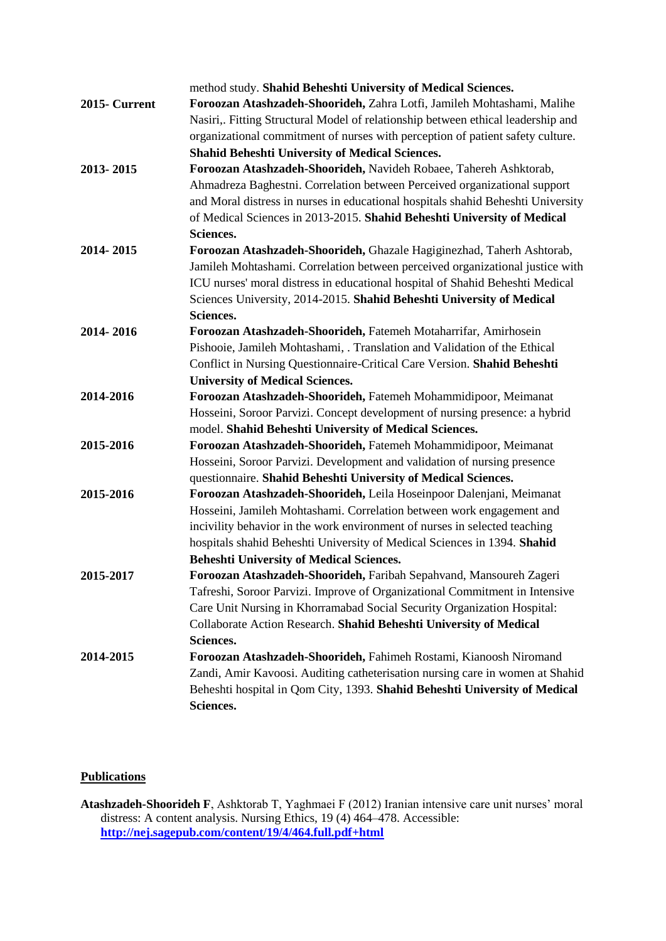| Foroozan Atashzadeh-Shoorideh, Zahra Lotfi, Jamileh Mohtashami, Malihe<br>Nasiri,. Fitting Structural Model of relationship between ethical leadership and<br>organizational commitment of nurses with perception of patient safety culture.<br><b>Shahid Beheshti University of Medical Sciences.</b><br>Foroozan Atashzadeh-Shoorideh, Navideh Robaee, Tahereh Ashktorab,<br>Ahmadreza Baghestni. Correlation between Perceived organizational support<br>and Moral distress in nurses in educational hospitals shahid Beheshti University<br>of Medical Sciences in 2013-2015. Shahid Beheshti University of Medical<br>Sciences.<br>Foroozan Atashzadeh-Shoorideh, Ghazale Hagiginezhad, Taherh Ashtorab,<br>Jamileh Mohtashami. Correlation between perceived organizational justice with<br>ICU nurses' moral distress in educational hospital of Shahid Beheshti Medical<br>Sciences University, 2014-2015. Shahid Beheshti University of Medical<br>Sciences.<br>Foroozan Atashzadeh-Shoorideh, Fatemeh Motaharrifar, Amirhosein<br>Pishooie, Jamileh Mohtashami, . Translation and Validation of the Ethical<br>Conflict in Nursing Questionnaire-Critical Care Version. Shahid Beheshti<br><b>University of Medical Sciences.</b><br>Foroozan Atashzadeh-Shoorideh, Fatemeh Mohammidipoor, Meimanat<br>Hosseini, Soroor Parvizi. Concept development of nursing presence: a hybrid<br>model. Shahid Beheshti University of Medical Sciences.<br>Foroozan Atashzadeh-Shoorideh, Fatemeh Mohammidipoor, Meimanat<br>2015-2016<br>Hosseini, Soroor Parvizi. Development and validation of nursing presence<br>questionnaire. Shahid Beheshti University of Medical Sciences.<br>2015-2016<br>Foroozan Atashzadeh-Shoorideh, Leila Hoseinpoor Dalenjani, Meimanat<br>Hosseini, Jamileh Mohtashami. Correlation between work engagement and<br>incivility behavior in the work environment of nurses in selected teaching<br>hospitals shahid Beheshti University of Medical Sciences in 1394. Shahid<br><b>Beheshti University of Medical Sciences.</b><br>Foroozan Atashzadeh-Shoorideh, Faribah Sepahvand, Mansoureh Zageri<br>2015-2017<br>Tafreshi, Soroor Parvizi. Improve of Organizational Commitment in Intensive<br>Care Unit Nursing in Khorramabad Social Security Organization Hospital:<br>Collaborate Action Research. Shahid Beheshti University of Medical<br>Sciences.<br>2014-2015<br>Foroozan Atashzadeh-Shoorideh, Fahimeh Rostami, Kianoosh Niromand<br>Zandi, Amir Kavoosi. Auditing catheterisation nursing care in women at Shahid<br>Beheshti hospital in Qom City, 1393. Shahid Beheshti University of Medical<br>Sciences. |               | method study. Shahid Beheshti University of Medical Sciences. |
|-------------------------------------------------------------------------------------------------------------------------------------------------------------------------------------------------------------------------------------------------------------------------------------------------------------------------------------------------------------------------------------------------------------------------------------------------------------------------------------------------------------------------------------------------------------------------------------------------------------------------------------------------------------------------------------------------------------------------------------------------------------------------------------------------------------------------------------------------------------------------------------------------------------------------------------------------------------------------------------------------------------------------------------------------------------------------------------------------------------------------------------------------------------------------------------------------------------------------------------------------------------------------------------------------------------------------------------------------------------------------------------------------------------------------------------------------------------------------------------------------------------------------------------------------------------------------------------------------------------------------------------------------------------------------------------------------------------------------------------------------------------------------------------------------------------------------------------------------------------------------------------------------------------------------------------------------------------------------------------------------------------------------------------------------------------------------------------------------------------------------------------------------------------------------------------------------------------------------------------------------------------------------------------------------------------------------------------------------------------------------------------------------------------------------------------------------------------------------------------------------------------------------------------------------------------------------------------------------------------------------------------------------------------|---------------|---------------------------------------------------------------|
|                                                                                                                                                                                                                                                                                                                                                                                                                                                                                                                                                                                                                                                                                                                                                                                                                                                                                                                                                                                                                                                                                                                                                                                                                                                                                                                                                                                                                                                                                                                                                                                                                                                                                                                                                                                                                                                                                                                                                                                                                                                                                                                                                                                                                                                                                                                                                                                                                                                                                                                                                                                                                                                             | 2015- Current |                                                               |
|                                                                                                                                                                                                                                                                                                                                                                                                                                                                                                                                                                                                                                                                                                                                                                                                                                                                                                                                                                                                                                                                                                                                                                                                                                                                                                                                                                                                                                                                                                                                                                                                                                                                                                                                                                                                                                                                                                                                                                                                                                                                                                                                                                                                                                                                                                                                                                                                                                                                                                                                                                                                                                                             |               |                                                               |
|                                                                                                                                                                                                                                                                                                                                                                                                                                                                                                                                                                                                                                                                                                                                                                                                                                                                                                                                                                                                                                                                                                                                                                                                                                                                                                                                                                                                                                                                                                                                                                                                                                                                                                                                                                                                                                                                                                                                                                                                                                                                                                                                                                                                                                                                                                                                                                                                                                                                                                                                                                                                                                                             |               |                                                               |
|                                                                                                                                                                                                                                                                                                                                                                                                                                                                                                                                                                                                                                                                                                                                                                                                                                                                                                                                                                                                                                                                                                                                                                                                                                                                                                                                                                                                                                                                                                                                                                                                                                                                                                                                                                                                                                                                                                                                                                                                                                                                                                                                                                                                                                                                                                                                                                                                                                                                                                                                                                                                                                                             |               |                                                               |
|                                                                                                                                                                                                                                                                                                                                                                                                                                                                                                                                                                                                                                                                                                                                                                                                                                                                                                                                                                                                                                                                                                                                                                                                                                                                                                                                                                                                                                                                                                                                                                                                                                                                                                                                                                                                                                                                                                                                                                                                                                                                                                                                                                                                                                                                                                                                                                                                                                                                                                                                                                                                                                                             | 2013-2015     |                                                               |
|                                                                                                                                                                                                                                                                                                                                                                                                                                                                                                                                                                                                                                                                                                                                                                                                                                                                                                                                                                                                                                                                                                                                                                                                                                                                                                                                                                                                                                                                                                                                                                                                                                                                                                                                                                                                                                                                                                                                                                                                                                                                                                                                                                                                                                                                                                                                                                                                                                                                                                                                                                                                                                                             |               |                                                               |
|                                                                                                                                                                                                                                                                                                                                                                                                                                                                                                                                                                                                                                                                                                                                                                                                                                                                                                                                                                                                                                                                                                                                                                                                                                                                                                                                                                                                                                                                                                                                                                                                                                                                                                                                                                                                                                                                                                                                                                                                                                                                                                                                                                                                                                                                                                                                                                                                                                                                                                                                                                                                                                                             |               |                                                               |
|                                                                                                                                                                                                                                                                                                                                                                                                                                                                                                                                                                                                                                                                                                                                                                                                                                                                                                                                                                                                                                                                                                                                                                                                                                                                                                                                                                                                                                                                                                                                                                                                                                                                                                                                                                                                                                                                                                                                                                                                                                                                                                                                                                                                                                                                                                                                                                                                                                                                                                                                                                                                                                                             |               |                                                               |
|                                                                                                                                                                                                                                                                                                                                                                                                                                                                                                                                                                                                                                                                                                                                                                                                                                                                                                                                                                                                                                                                                                                                                                                                                                                                                                                                                                                                                                                                                                                                                                                                                                                                                                                                                                                                                                                                                                                                                                                                                                                                                                                                                                                                                                                                                                                                                                                                                                                                                                                                                                                                                                                             |               |                                                               |
|                                                                                                                                                                                                                                                                                                                                                                                                                                                                                                                                                                                                                                                                                                                                                                                                                                                                                                                                                                                                                                                                                                                                                                                                                                                                                                                                                                                                                                                                                                                                                                                                                                                                                                                                                                                                                                                                                                                                                                                                                                                                                                                                                                                                                                                                                                                                                                                                                                                                                                                                                                                                                                                             | 2014-2015     |                                                               |
|                                                                                                                                                                                                                                                                                                                                                                                                                                                                                                                                                                                                                                                                                                                                                                                                                                                                                                                                                                                                                                                                                                                                                                                                                                                                                                                                                                                                                                                                                                                                                                                                                                                                                                                                                                                                                                                                                                                                                                                                                                                                                                                                                                                                                                                                                                                                                                                                                                                                                                                                                                                                                                                             |               |                                                               |
|                                                                                                                                                                                                                                                                                                                                                                                                                                                                                                                                                                                                                                                                                                                                                                                                                                                                                                                                                                                                                                                                                                                                                                                                                                                                                                                                                                                                                                                                                                                                                                                                                                                                                                                                                                                                                                                                                                                                                                                                                                                                                                                                                                                                                                                                                                                                                                                                                                                                                                                                                                                                                                                             |               |                                                               |
|                                                                                                                                                                                                                                                                                                                                                                                                                                                                                                                                                                                                                                                                                                                                                                                                                                                                                                                                                                                                                                                                                                                                                                                                                                                                                                                                                                                                                                                                                                                                                                                                                                                                                                                                                                                                                                                                                                                                                                                                                                                                                                                                                                                                                                                                                                                                                                                                                                                                                                                                                                                                                                                             |               |                                                               |
|                                                                                                                                                                                                                                                                                                                                                                                                                                                                                                                                                                                                                                                                                                                                                                                                                                                                                                                                                                                                                                                                                                                                                                                                                                                                                                                                                                                                                                                                                                                                                                                                                                                                                                                                                                                                                                                                                                                                                                                                                                                                                                                                                                                                                                                                                                                                                                                                                                                                                                                                                                                                                                                             |               |                                                               |
|                                                                                                                                                                                                                                                                                                                                                                                                                                                                                                                                                                                                                                                                                                                                                                                                                                                                                                                                                                                                                                                                                                                                                                                                                                                                                                                                                                                                                                                                                                                                                                                                                                                                                                                                                                                                                                                                                                                                                                                                                                                                                                                                                                                                                                                                                                                                                                                                                                                                                                                                                                                                                                                             | 2014-2016     |                                                               |
|                                                                                                                                                                                                                                                                                                                                                                                                                                                                                                                                                                                                                                                                                                                                                                                                                                                                                                                                                                                                                                                                                                                                                                                                                                                                                                                                                                                                                                                                                                                                                                                                                                                                                                                                                                                                                                                                                                                                                                                                                                                                                                                                                                                                                                                                                                                                                                                                                                                                                                                                                                                                                                                             |               |                                                               |
|                                                                                                                                                                                                                                                                                                                                                                                                                                                                                                                                                                                                                                                                                                                                                                                                                                                                                                                                                                                                                                                                                                                                                                                                                                                                                                                                                                                                                                                                                                                                                                                                                                                                                                                                                                                                                                                                                                                                                                                                                                                                                                                                                                                                                                                                                                                                                                                                                                                                                                                                                                                                                                                             |               |                                                               |
|                                                                                                                                                                                                                                                                                                                                                                                                                                                                                                                                                                                                                                                                                                                                                                                                                                                                                                                                                                                                                                                                                                                                                                                                                                                                                                                                                                                                                                                                                                                                                                                                                                                                                                                                                                                                                                                                                                                                                                                                                                                                                                                                                                                                                                                                                                                                                                                                                                                                                                                                                                                                                                                             |               |                                                               |
|                                                                                                                                                                                                                                                                                                                                                                                                                                                                                                                                                                                                                                                                                                                                                                                                                                                                                                                                                                                                                                                                                                                                                                                                                                                                                                                                                                                                                                                                                                                                                                                                                                                                                                                                                                                                                                                                                                                                                                                                                                                                                                                                                                                                                                                                                                                                                                                                                                                                                                                                                                                                                                                             | 2014-2016     |                                                               |
|                                                                                                                                                                                                                                                                                                                                                                                                                                                                                                                                                                                                                                                                                                                                                                                                                                                                                                                                                                                                                                                                                                                                                                                                                                                                                                                                                                                                                                                                                                                                                                                                                                                                                                                                                                                                                                                                                                                                                                                                                                                                                                                                                                                                                                                                                                                                                                                                                                                                                                                                                                                                                                                             |               |                                                               |
|                                                                                                                                                                                                                                                                                                                                                                                                                                                                                                                                                                                                                                                                                                                                                                                                                                                                                                                                                                                                                                                                                                                                                                                                                                                                                                                                                                                                                                                                                                                                                                                                                                                                                                                                                                                                                                                                                                                                                                                                                                                                                                                                                                                                                                                                                                                                                                                                                                                                                                                                                                                                                                                             |               |                                                               |
|                                                                                                                                                                                                                                                                                                                                                                                                                                                                                                                                                                                                                                                                                                                                                                                                                                                                                                                                                                                                                                                                                                                                                                                                                                                                                                                                                                                                                                                                                                                                                                                                                                                                                                                                                                                                                                                                                                                                                                                                                                                                                                                                                                                                                                                                                                                                                                                                                                                                                                                                                                                                                                                             |               |                                                               |
|                                                                                                                                                                                                                                                                                                                                                                                                                                                                                                                                                                                                                                                                                                                                                                                                                                                                                                                                                                                                                                                                                                                                                                                                                                                                                                                                                                                                                                                                                                                                                                                                                                                                                                                                                                                                                                                                                                                                                                                                                                                                                                                                                                                                                                                                                                                                                                                                                                                                                                                                                                                                                                                             |               |                                                               |
|                                                                                                                                                                                                                                                                                                                                                                                                                                                                                                                                                                                                                                                                                                                                                                                                                                                                                                                                                                                                                                                                                                                                                                                                                                                                                                                                                                                                                                                                                                                                                                                                                                                                                                                                                                                                                                                                                                                                                                                                                                                                                                                                                                                                                                                                                                                                                                                                                                                                                                                                                                                                                                                             |               |                                                               |
|                                                                                                                                                                                                                                                                                                                                                                                                                                                                                                                                                                                                                                                                                                                                                                                                                                                                                                                                                                                                                                                                                                                                                                                                                                                                                                                                                                                                                                                                                                                                                                                                                                                                                                                                                                                                                                                                                                                                                                                                                                                                                                                                                                                                                                                                                                                                                                                                                                                                                                                                                                                                                                                             |               |                                                               |
|                                                                                                                                                                                                                                                                                                                                                                                                                                                                                                                                                                                                                                                                                                                                                                                                                                                                                                                                                                                                                                                                                                                                                                                                                                                                                                                                                                                                                                                                                                                                                                                                                                                                                                                                                                                                                                                                                                                                                                                                                                                                                                                                                                                                                                                                                                                                                                                                                                                                                                                                                                                                                                                             |               |                                                               |
|                                                                                                                                                                                                                                                                                                                                                                                                                                                                                                                                                                                                                                                                                                                                                                                                                                                                                                                                                                                                                                                                                                                                                                                                                                                                                                                                                                                                                                                                                                                                                                                                                                                                                                                                                                                                                                                                                                                                                                                                                                                                                                                                                                                                                                                                                                                                                                                                                                                                                                                                                                                                                                                             |               |                                                               |
|                                                                                                                                                                                                                                                                                                                                                                                                                                                                                                                                                                                                                                                                                                                                                                                                                                                                                                                                                                                                                                                                                                                                                                                                                                                                                                                                                                                                                                                                                                                                                                                                                                                                                                                                                                                                                                                                                                                                                                                                                                                                                                                                                                                                                                                                                                                                                                                                                                                                                                                                                                                                                                                             |               |                                                               |
|                                                                                                                                                                                                                                                                                                                                                                                                                                                                                                                                                                                                                                                                                                                                                                                                                                                                                                                                                                                                                                                                                                                                                                                                                                                                                                                                                                                                                                                                                                                                                                                                                                                                                                                                                                                                                                                                                                                                                                                                                                                                                                                                                                                                                                                                                                                                                                                                                                                                                                                                                                                                                                                             |               |                                                               |
|                                                                                                                                                                                                                                                                                                                                                                                                                                                                                                                                                                                                                                                                                                                                                                                                                                                                                                                                                                                                                                                                                                                                                                                                                                                                                                                                                                                                                                                                                                                                                                                                                                                                                                                                                                                                                                                                                                                                                                                                                                                                                                                                                                                                                                                                                                                                                                                                                                                                                                                                                                                                                                                             |               |                                                               |
|                                                                                                                                                                                                                                                                                                                                                                                                                                                                                                                                                                                                                                                                                                                                                                                                                                                                                                                                                                                                                                                                                                                                                                                                                                                                                                                                                                                                                                                                                                                                                                                                                                                                                                                                                                                                                                                                                                                                                                                                                                                                                                                                                                                                                                                                                                                                                                                                                                                                                                                                                                                                                                                             |               |                                                               |
|                                                                                                                                                                                                                                                                                                                                                                                                                                                                                                                                                                                                                                                                                                                                                                                                                                                                                                                                                                                                                                                                                                                                                                                                                                                                                                                                                                                                                                                                                                                                                                                                                                                                                                                                                                                                                                                                                                                                                                                                                                                                                                                                                                                                                                                                                                                                                                                                                                                                                                                                                                                                                                                             |               |                                                               |
|                                                                                                                                                                                                                                                                                                                                                                                                                                                                                                                                                                                                                                                                                                                                                                                                                                                                                                                                                                                                                                                                                                                                                                                                                                                                                                                                                                                                                                                                                                                                                                                                                                                                                                                                                                                                                                                                                                                                                                                                                                                                                                                                                                                                                                                                                                                                                                                                                                                                                                                                                                                                                                                             |               |                                                               |
|                                                                                                                                                                                                                                                                                                                                                                                                                                                                                                                                                                                                                                                                                                                                                                                                                                                                                                                                                                                                                                                                                                                                                                                                                                                                                                                                                                                                                                                                                                                                                                                                                                                                                                                                                                                                                                                                                                                                                                                                                                                                                                                                                                                                                                                                                                                                                                                                                                                                                                                                                                                                                                                             |               |                                                               |
|                                                                                                                                                                                                                                                                                                                                                                                                                                                                                                                                                                                                                                                                                                                                                                                                                                                                                                                                                                                                                                                                                                                                                                                                                                                                                                                                                                                                                                                                                                                                                                                                                                                                                                                                                                                                                                                                                                                                                                                                                                                                                                                                                                                                                                                                                                                                                                                                                                                                                                                                                                                                                                                             |               |                                                               |
|                                                                                                                                                                                                                                                                                                                                                                                                                                                                                                                                                                                                                                                                                                                                                                                                                                                                                                                                                                                                                                                                                                                                                                                                                                                                                                                                                                                                                                                                                                                                                                                                                                                                                                                                                                                                                                                                                                                                                                                                                                                                                                                                                                                                                                                                                                                                                                                                                                                                                                                                                                                                                                                             |               |                                                               |
|                                                                                                                                                                                                                                                                                                                                                                                                                                                                                                                                                                                                                                                                                                                                                                                                                                                                                                                                                                                                                                                                                                                                                                                                                                                                                                                                                                                                                                                                                                                                                                                                                                                                                                                                                                                                                                                                                                                                                                                                                                                                                                                                                                                                                                                                                                                                                                                                                                                                                                                                                                                                                                                             |               |                                                               |
|                                                                                                                                                                                                                                                                                                                                                                                                                                                                                                                                                                                                                                                                                                                                                                                                                                                                                                                                                                                                                                                                                                                                                                                                                                                                                                                                                                                                                                                                                                                                                                                                                                                                                                                                                                                                                                                                                                                                                                                                                                                                                                                                                                                                                                                                                                                                                                                                                                                                                                                                                                                                                                                             |               |                                                               |

# **Publications**

**Atashzadeh-Shoorideh F**, Ashktorab T, Yaghmaei F (2012) Iranian intensive care unit nurses' moral distress: A content analysis. Nursing Ethics, 19 (4) 464–478. Accessible: **http://nej.sagepub.com/content/19/4/464.full.pdf+html**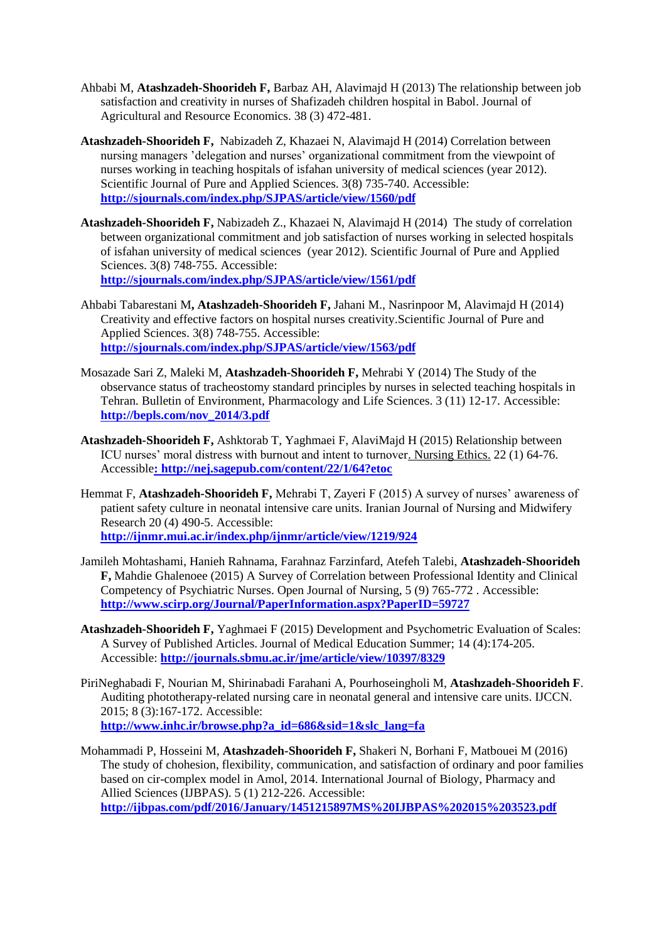- Ahbabi M, **Atashzadeh-Shoorideh F,** Barbaz AH, Alavimajd H (2013) The relationship between job satisfaction and creativity in nurses of Shafizadeh children hospital in Babol. Journal of Agricultural and Resource Economics. 38 (3) 472-481.
- **Atashzadeh-Shoorideh F,** Nabizadeh Z, Khazaei N, Alavimajd H (2014) Correlation between nursing managers 'delegation and nurses' organizational commitment from the viewpoint of nurses working in teaching hospitals of isfahan university of medical sciences (year 2012). Scientific Journal of Pure and Applied Sciences. 3(8) 735-740. Accessible: **[http://sjournals.com/index.php/SJPAS/article/view/1560/pdf](http://research.sbmu.ac.ir/main/cartable.action)**
- **Atashzadeh-Shoorideh F,** Nabizadeh Z., Khazaei N, Alavimajd H (2014) The study of correlation between organizational commitment and job satisfaction of nurses working in selected hospitals of isfahan university of medical sciences (year 2012). Scientific Journal of Pure and Applied Sciences. 3(8) 748-755. Accessible: **http://sjournals.com/index.php/SJPAS/article/view/1561/pdf**
- Ahbabi Tabarestani M**, Atashzadeh-Shoorideh F,** Jahani M., Nasrinpoor M, Alavimajd H (2014) Creativity and effective factors on hospital nurses creativity.Scientific Journal of Pure and Applied Sciences. 3(8) 748-755. Accessible: **<http://sjournals.com/index.php/SJPAS/article/view/1563/pdf>**
- Mosazade Sari Z, Maleki M, **Atashzadeh-Shoorideh F,** Mehrabi Y (2014) The Study of the observance status of tracheostomy standard principles by nurses in selected teaching hospitals in Tehran. Bulletin of Environment, Pharmacology and Life Sciences. 3 (11) 12-17. Accessible: **http://bepls.com/nov\_2014/3.pdf**
- **Atashzadeh-Shoorideh F,** Ashktorab T, Yaghmaei F, AlaviMajd H (2015) Relationship between ICU nurses' moral distress with burnout and intent to turnover. Nursing Ethics. 22 (1) 64-76. Accessible**[:](http://research.sbmu.ac.ir/main/cartable.action) [http://nej.sagepub.com/content/22/1/64?etoc](http://research.sbmu.ac.ir/main/cartable.action)**
- Hemmat F, **Atashzadeh-Shoorideh F,** Mehrabi T, Zayeri F (2015) A survey of nurses' awareness of patient safety culture in neonatal intensive care units. Iranian Journal of Nursing and Midwifery Research 20 (4) 490-5. Accessible: **<http://ijnmr.mui.ac.ir/index.php/ijnmr/article/view/1219/924>**
- Jamileh Mohtashami, Hanieh Rahnama, Farahnaz Farzinfard, Atefeh Talebi, **Atashzadeh-Shoorideh F,** Mahdie Ghalenoee (2015) A Survey of Correlation between Professional Identity and Clinical Competency of Psychiatric Nurses. Open Journal of Nursing, 5 (9) 765-772 . Accessible: **<http://www.scirp.org/Journal/PaperInformation.aspx?PaperID=59727>**
- **Atashzadeh-Shoorideh F,** Yaghmaei F (2015) Development and Psychometric Evaluation of Scales: A Survey of Published Articles. Journal of Medical Education Summer; 14 (4):174-205. Accessible: **<http://journals.sbmu.ac.ir/jme/article/view/10397/8329>**
- PiriNeghabadi F, Nourian M, Shirinabadi Farahani A, Pourhoseingholi M, **Atashzadeh-Shoorideh F**. Auditing phototherapy-related nursing care in neonatal general and intensive care units. IJCCN. 2015; 8 (3):167-172. Accessible: **[http://www.inhc.ir/browse.php?a\\_id=686&sid=1&slc\\_lang=fa](http://www.inhc.ir/browse.php?a_id=686&sid=1&slc_lang=fa)**
- Mohammadi P, Hosseini M, **Atashzadeh-Shoorideh F,** Shakeri N, Borhani F, Matbouei M (2016) The study of chohesion, flexibility, communication, and satisfaction of ordinary and poor families based on cir-complex model in Amol, 2014. International Journal of Biology, Pharmacy and Allied Sciences (IJBPAS). 5 (1) 212-226. Accessible: **<http://ijbpas.com/pdf/2016/January/1451215897MS%20IJBPAS%202015%203523.pdf>**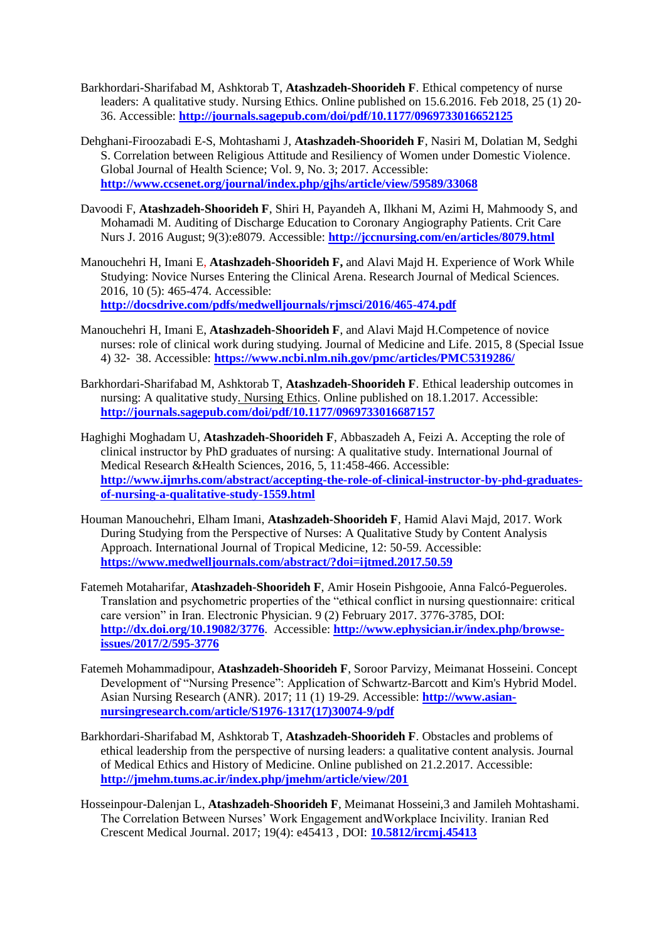- Barkhordari-Sharifabad M, Ashktorab T, **Atashzadeh-Shoorideh F**. Ethical competency of nurse leaders: A qualitative study. Nursing Ethics. Online published on 15.6.2016. Feb 2018, 25 (1) 20- 36. Accessible: **<http://journals.sagepub.com/doi/pdf/10.1177/0969733016652125>**
- Dehghani-Firoozabadi E-S, Mohtashami J, **Atashzadeh-Shoorideh F**, Nasiri M, Dolatian M, Sedghi S. [Correlation between Religious Attitude and Resiliency of Women under Domestic Violence.](http://www.ccsenet.org/journal/index.php/gjhs/article/view/59589) Global Journal of Health Science; Vol. 9, No. 3; 2017. Accessible: **<http://www.ccsenet.org/journal/index.php/gjhs/article/view/59589/33068>**
- Davoodi F, **Atashzadeh-Shoorideh F**, Shiri H, Payandeh A, Ilkhani M, Azimi H, Mahmoody S, and Mohamadi M. Auditing of Discharge Education to Coronary Angiography Patients. Crit Care Nurs J. 2016 August; 9(3):e8079. Accessible: **<http://jccnursing.com/en/articles/8079.html>**
- [Manouchehri](http://scialert.net/asci/author.php?author=Houman&last=Manouchehri) H, [Imani](http://scialert.net/asci/author.php?author=Elham&last=Imani) E, **[Atashzadeh-Shoorideh](http://scialert.net/asci/author.php?author=Foroozan&last=Atashzadeh-Shoorideh) F,** and [Alavi Majd](http://scialert.net/asci/author.php?author=Hamid%20Alavi&last=Majd) H. Experience of Work While Studying: Novice Nurses Entering the Clinical Arena. Research Journal of Medical Sciences. 2016, 10 (5): 465-474. Accessible: **<http://docsdrive.com/pdfs/medwelljournals/rjmsci/2016/465-474.pdf>**
- [Manouchehri](http://scialert.net/asci/author.php?author=Houman&last=Manouchehri) H, [Imani](http://scialert.net/asci/author.php?author=Elham&last=Imani) E, **[Atashzadeh-Shoorideh](http://scialert.net/asci/author.php?author=Foroozan&last=Atashzadeh-Shoorideh) F**, and [Alavi Majd](http://scialert.net/asci/author.php?author=Hamid%20Alavi&last=Majd) H.Competence of novice nurses: role of clinical work during studying. Journal of Medicine and Life. 2015, 8 (Special Issue 4) 32‐ 38. Accessible: **<https://www.ncbi.nlm.nih.gov/pmc/articles/PMC5319286/>**
- Barkhordari-Sharifabad M, Ashktorab T, **Atashzadeh-Shoorideh F**. Ethical leadership outcomes in nursing: A qualitative study. Nursing Ethics. Online published on 18.1.2017. Accessible: **<http://journals.sagepub.com/doi/pdf/10.1177/0969733016687157>**
- Haghighi Moghadam U, **[Atashzadeh-Shoorideh](http://scialert.net/asci/author.php?author=Foroozan&last=Atashzadeh-Shoorideh) F**, Abbaszadeh A, Feizi A. Accepting the role of clinical instructor by PhD graduates of nursing: A qualitative study. International Journal of Medical Research &Health Sciences, 2016, 5, 11:458-466. Accessible: **[http://www.ijmrhs.com/abstract/accepting-the-role-of-clinical-instructor-by-phd-graduates](http://www.ijmrhs.com/abstract/accepting-the-role-of-clinical-instructor-by-phd-graduates-of-nursing-a-qualitative-study-1559.html)[of-nursing-a-qualitative-study-1559.html](http://www.ijmrhs.com/abstract/accepting-the-role-of-clinical-instructor-by-phd-graduates-of-nursing-a-qualitative-study-1559.html)**
- Houman Manouchehri, Elham Imani, **Atashzadeh-Shoorideh F**, Hamid Alavi Majd, 2017. Work During Studying from the Perspective of Nurses: A Qualitative Study by Content Analysis Approach. International Journal of Tropical Medicine, 12: 50-59. Accessible: **<https://www.medwelljournals.com/abstract/?doi=ijtmed.2017.50.59>**
- Fatemeh Motaharifar, **Atashzadeh-Shoorideh F**, Amir Hosein Pishgooie, Anna Falcó-Pegueroles. Translation and psychometric properties of the "ethical conflict in nursing questionnaire: critical care version" in Iran. Electronic Physician. 9 (2) February 2017. 3776-3785, DOI: **<http://dx.doi.org/10.19082/3776>**. Accessible: **[http://www.ephysician.ir/index.php/browse](http://www.ephysician.ir/index.php/browse-issues/2017/2/595-3776)[issues/2017/2/595-3776](http://www.ephysician.ir/index.php/browse-issues/2017/2/595-3776)**
- Fatemeh Mohammadipour, **Atashzadeh-Shoorideh F**, Soroor Parvizy, Meimanat Hosseini. Concept Development of "Nursing Presence": Application of Schwartz-Barcott and Kim's Hybrid Model. Asian Nursing Research (ANR). 2017; 11 (1) 19-29. Accessible: **[http://www.asian](http://www.asian-nursingresearch.com/article/S1976-1317(17)30074-9/pdf)[nursingresearch.com/article/S1976-1317\(17\)30074-9/pdf](http://www.asian-nursingresearch.com/article/S1976-1317(17)30074-9/pdf)**
- Barkhordari-Sharifabad M, Ashktorab T, **Atashzadeh-Shoorideh F**. Obstacles and problems of ethical leadership from the perspective of nursing leaders: a qualitative content analysis. Journal of Medical Ethics and History of Medicine. Online published on 21.2.2017. Accessible: **<http://jmehm.tums.ac.ir/index.php/jmehm/article/view/201>**
- Hosseinpour-Dalenjan L, **Atashzadeh-Shoorideh F**, Meimanat Hosseini,3 and Jamileh Mohtashami. The Correlation Between Nurses' Work Engagement andWorkplace Incivility. Iranian Red Crescent Medical Journal. 2017; 19(4): e45413 , DOI: **[10.5812/ircmj.45413](http://dx.doi.org/10.5812/ircmj.45413)**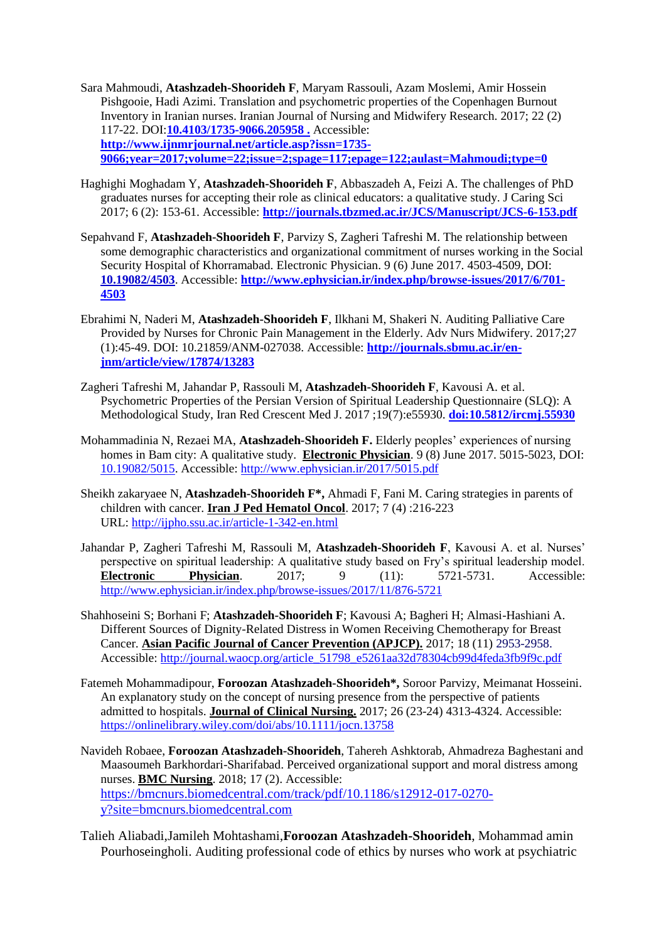Sara Mahmoudi, **Atashzadeh-Shoorideh F**, Maryam Rassouli, Azam Moslemi, Amir Hossein Pishgooie, Hadi Azimi. Translation and psychometric properties of the Copenhagen Burnout Inventory in Iranian nurses. Iranian Journal of Nursing and Midwifery Research. 2017; 22 (2) 117-22. DOI:**10.4103/1735-9066.205958 .** Accessible: **[http://www.ijnmrjournal.net/article.asp?issn=1735-](http://www.ijnmrjournal.net/article.asp?issn=1735-9066;year=2017;volume=22;issue=2;spage=117;epage=122;aulast=Mahmoudi;type=0) [9066;year=2017;volume=22;issue=2;spage=117;epage=122;aulast=Mahmoudi;type=0](http://www.ijnmrjournal.net/article.asp?issn=1735-9066;year=2017;volume=22;issue=2;spage=117;epage=122;aulast=Mahmoudi;type=0)**

- Haghighi Moghadam Y, **Atashzadeh-Shoorideh F**, Abbaszadeh A, Feizi A. The challenges of PhD graduates nurses for accepting their role as clinical educators: a qualitative study. J Caring Sci 2017; 6 (2): 153-61. Accessible: **<http://journals.tbzmed.ac.ir/JCS/Manuscript/JCS-6-153.pdf>**
- Sepahvand F, **Atashzadeh-Shoorideh F**, Parvizy S, Zagheri Tafreshi M. The relationship between some demographic characteristics and organizational commitment of nurses working in the Social Security Hospital of Khorramabad. Electronic Physician. 9 (6) June 2017. 4503-4509, DOI: **[10.19082/4503](http://dx.doi.org/10.19082/4503)**. Accessible: **[http://www.ephysician.ir/index.php/browse-issues/2017/6/701-](http://www.ephysician.ir/index.php/browse-issues/2017/6/701-4503) [4503](http://www.ephysician.ir/index.php/browse-issues/2017/6/701-4503)**
- Ebrahimi N, Naderi M, **Atashzadeh-Shoorideh F**, Ilkhani M, Shakeri N. Auditing Palliative Care Provided by Nurses for Chronic Pain Management in the Elderly. Adv Nurs Midwifery. 2017;27 (1):45-49. DOI: 10.21859/ANM-027038. Accessible: **[http://journals.sbmu.ac.ir/en](http://journals.sbmu.ac.ir/en-jnm/article/view/17874/13283)[jnm/article/view/17874/13283](http://journals.sbmu.ac.ir/en-jnm/article/view/17874/13283)**
- Zagheri Tafreshi M, Jahandar P, Rassouli M, **Atashzadeh-Shoorideh F**, Kavousi A. et al. Psychometric Properties of the Persian Version of Spiritual Leadership Questionnaire (SLQ): A Methodological Study, Iran Red Crescent Med J. 2017 ;19(7):e55930. **doi:10.5812/ircmj.55930**
- Mohammadinia N, Rezaei MA, **Atashzadeh-Shoorideh F.** Elderly peoples' experiences of nursing homes in Bam city: A qualitative study. **Electronic Physician**. 9 (8) June 2017. 5015-5023, DOI: [10.19082/5015.](http://dx.doi.org/10.19082/5015) Accessible:<http://www.ephysician.ir/2017/5015.pdf>
- Sheikh zakaryaee N, **Atashzadeh-Shoorideh F\*,** Ahmadi F, Fani M. Caring strategies in parents of children with cancer. **Iran J Ped Hematol Oncol**. 2017; 7 (4) :216-223 URL:<http://ijpho.ssu.ac.ir/article-1-342-en.html>
- Jahandar P, Zagheri Tafreshi M, Rassouli M, **Atashzadeh-Shoorideh F**, Kavousi A. et al. Nurses' perspective on spiritual leadership: A qualitative study based on Fry's spiritual leadership model.<br> **Electronic** Physician. 2017; 9 (11): 5721-5731. Accessible: **Electronic Physician**. 2017; 9 (11): 5721-5731. Accessible: <http://www.ephysician.ir/index.php/browse-issues/2017/11/876-5721>
- Shahhoseini S; Borhani F; **Atashzadeh-Shoorideh F**; Kavousi A; Bagheri H; Almasi-Hashiani A. Different Sources of Dignity-Related Distress in Women Receiving Chemotherapy for Breast Cancer. **Asian Pacific Journal of Cancer Prevention (APJCP).** 2017; 18 (11) 2953-2958. Accessible: [http://journal.waocp.org/article\\_51798\\_e5261aa32d78304cb99d4feda3fb9f9c.pdf](http://journal.waocp.org/article_51798_e5261aa32d78304cb99d4feda3fb9f9c.pdf)
- Fatemeh Mohammadipour, **Foroozan Atashzadeh-Shoorideh\*,** Soroor Parvizy, Meimanat Hosseini. An explanatory study on the concept of nursing presence from the perspective of patients admitted to hospitals. **Journal of Clinical Nursing.** 2017; 26 (23-24) 4313-4324. Accessible: <https://onlinelibrary.wiley.com/doi/abs/10.1111/jocn.13758>
- Navideh Robaee, **Foroozan Atashzadeh-Shoorideh**, Tahereh Ashktorab, Ahmadreza Baghestani and Maasoumeh Barkhordari-Sharifabad. Perceived organizational support and moral distress among nurses. **BMC Nursing**. 2018; 17 (2). Accessible: [https://bmcnurs.biomedcentral.com/track/pdf/10.1186/s12912-017-0270](https://bmcnurs.biomedcentral.com/track/pdf/10.1186/s12912-017-0270-y?site=bmcnurs.biomedcentral.com) [y?site=bmcnurs.biomedcentral.com](https://bmcnurs.biomedcentral.com/track/pdf/10.1186/s12912-017-0270-y?site=bmcnurs.biomedcentral.com)
- Talieh Aliabadi,Jamileh Mohtashami,**Foroozan Atashzadeh-Shoorideh**, Mohammad amin Pourhoseingholi. Auditing professional code of ethics by nurses who work at psychiatric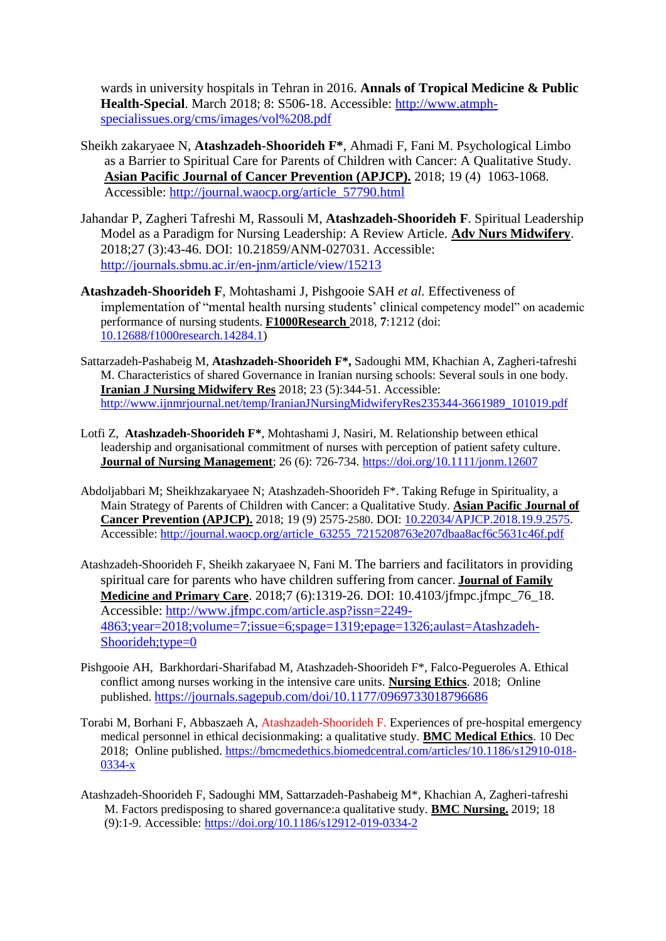wards in university hospitals in Tehran in 2016. **Annals of Tropical Medicine & Public Health-Special**. March 2018; 8: S506-18. Accessible: [http://www.atmph](http://www.atmph-specialissues.org/cms/images/vol%208.pdf)[specialissues.org/cms/images/vol%208.pdf](http://www.atmph-specialissues.org/cms/images/vol%208.pdf)

- Sheikh zakaryaee N, **Atashzadeh-Shoorideh F\***, Ahmadi F, Fani M. Psychological Limbo as a Barrier to Spiritual Care for Parents of Children with Cancer: A Qualitative Study. **Asian Pacific Journal of Cancer Prevention (APJCP).** 2018; 19 (4) 1063-1068. Accessible: [http://journal.waocp.org/article\\_57790.html](http://journal.waocp.org/article_57790.html)
- Jahandar P, Zagheri Tafreshi M, Rassouli M, **Atashzadeh-Shoorideh F**. Spiritual Leadership Model as a Paradigm for Nursing Leadership: A Review Article. **Adv Nurs Midwifery**. 2018;27 (3):43-46. DOI: 10.21859/ANM-027031. Accessible: <http://journals.sbmu.ac.ir/en-jnm/article/view/15213>
- **Atashzadeh-Shoorideh F**, Mohtashami J, Pishgooie SAH *et al.* Effectiveness of implementation of "mental health nursing students' clinical competency model" on academic performance of nursing students. **F1000Research** 2018, **7**:1212 (doi: [10.12688/f1000research.14284.1\)](http://dx.doi.org/10.12688/f1000research.14284.1)
- Sattarzadeh-Pashabeig M, **Atashzadeh-Shoorideh F\*,** Sadoughi MM, Khachian A, Zagheri-tafreshi M. Characteristics of shared Governance in Iranian nursing schools: Several souls in one body. **Iranian J Nursing Midwifery Res** 2018; 23 (5):344-51. Accessible: [http://www.ijnmrjournal.net/temp/IranianJNursingMidwiferyRes235344-3661989\\_101019.pdf](http://www.ijnmrjournal.net/temp/IranianJNursingMidwiferyRes235344-3661989_101019.pdf)
- [Lotfi](https://onlinelibrary.wiley.com/action/doSearch?ContribAuthorStored=Lotfi%2C+Zahra) Z, **[Atashzadeh-Shoorideh F\\*](https://onlinelibrary.wiley.com/action/doSearch?ContribAuthorStored=Atashzadeh-Shoorideh%2C+Foroozan)**, [Mohtashami](https://onlinelibrary.wiley.com/action/doSearch?ContribAuthorStored=Atashzadeh-Shoorideh%2C+Foroozan) J[, Nasiri,](https://onlinelibrary.wiley.com/action/doSearch?ContribAuthorStored=Nasiri%2C+Maliheh) M. [Relationship between ethical](https://onlinelibrary.wiley.com/doi/10.1111/jonm.12607)  [leadership and organisational commitment of nurses with perception of patient safety culture.](https://onlinelibrary.wiley.com/doi/10.1111/jonm.12607) **[Journal of Nursing Management](https://onlinelibrary.wiley.com/journal/13652834)**; 26 (6): 726-734. <https://doi.org/10.1111/jonm.12607>
- [Abdoljabbari](http://journal.waocp.org/?_action=article&au=388034&_au=Morteza++Abdoljabbari) M; [Sheikhzakaryaee](http://journal.waocp.org/?_action=article&au=346255&_au=Neda++Sheikhzakaryaee) N; Atashzadeh-Shoorideh F\*. Taking Refuge in Spirituality, a Main Strategy of Parents of Children with Cancer: a Qualitative Study. **Asian Pacific Journal of Cancer Prevention (APJCP).** 2018; 19 (9) 2575-2580. DOI: [10.22034/APJCP.2018.19.9.2575.](http://dx.doi.org/10.22034/APJCP.2018.19.9.2575) Accessible: [http://journal.waocp.org/article\\_63255\\_7215208763e207dbaa8acf6c5631c46f.pdf](http://journal.waocp.org/article_63255_7215208763e207dbaa8acf6c5631c46f.pdf)
- Atashzadeh-Shoorideh F, Sheikh zakaryaee N, Fani M. The barriers and facilitators in providing spiritual care for parents who have children suffering from cancer. **Journal of Family Medicine and Primary Care**. 2018;7 (6):1319-26. DOI: 10.4103/jfmpc.jfmpc\_76\_18. Accessible: [http://www.jfmpc.com/article.asp?issn=2249-](http://www.jfmpc.com/article.asp?issn=2249-4863;year=2018;volume=7;issue=6;spage=1319;epage=1326;aulast=Atashzadeh-Shoorideh;type=0) [4863;year=2018;volume=7;issue=6;spage=1319;epage=1326;aulast=Atashzadeh-](http://www.jfmpc.com/article.asp?issn=2249-4863;year=2018;volume=7;issue=6;spage=1319;epage=1326;aulast=Atashzadeh-Shoorideh;type=0)[Shoorideh;type=0](http://www.jfmpc.com/article.asp?issn=2249-4863;year=2018;volume=7;issue=6;spage=1319;epage=1326;aulast=Atashzadeh-Shoorideh;type=0)
- Pishgooie AH, [Barkhordari-Sharifabad M, Atashzadeh-Shoorideh F\\*, F](https://onlinelibrary.wiley.com/action/doSearch?ContribAuthorStored=Atashzadeh-Shoorideh%2C+Foroozan)alco-Pegueroles A. Ethical conflict among nurses working in the intensive care units. **[Nursing](https://onlinelibrary.wiley.com/journal/13652834) Ethics**. 2018; Online published. <https://journals.sagepub.com/doi/10.1177/0969733018796686>
- Torabi M, Borhani F, Abbaszaeh A, Atashzadeh-Shoorideh F. Experiences of pre-hospital emergency medical personnel in ethical decisionmaking: a qualitative study. **BMC Medical Ethics**. 10 Dec 2018; Online published. [https://bmcmedethics.biomedcentral.com/articles/10.1186/s12910-018-](https://bmcmedethics.biomedcentral.com/articles/10.1186/s12910-018-0334-x) [0334-x](https://bmcmedethics.biomedcentral.com/articles/10.1186/s12910-018-0334-x)
- Atashzadeh-Shoorideh F, Sadoughi MM, Sattarzadeh-Pashabeig M\*, Khachian A, Zagheri-tafreshi M. Factors predisposing to shared governance:a qualitative study. **BMC Nursing.** 2019; 18 (9):1-9. Accessible:<https://doi.org/10.1186/s12912-019-0334-2>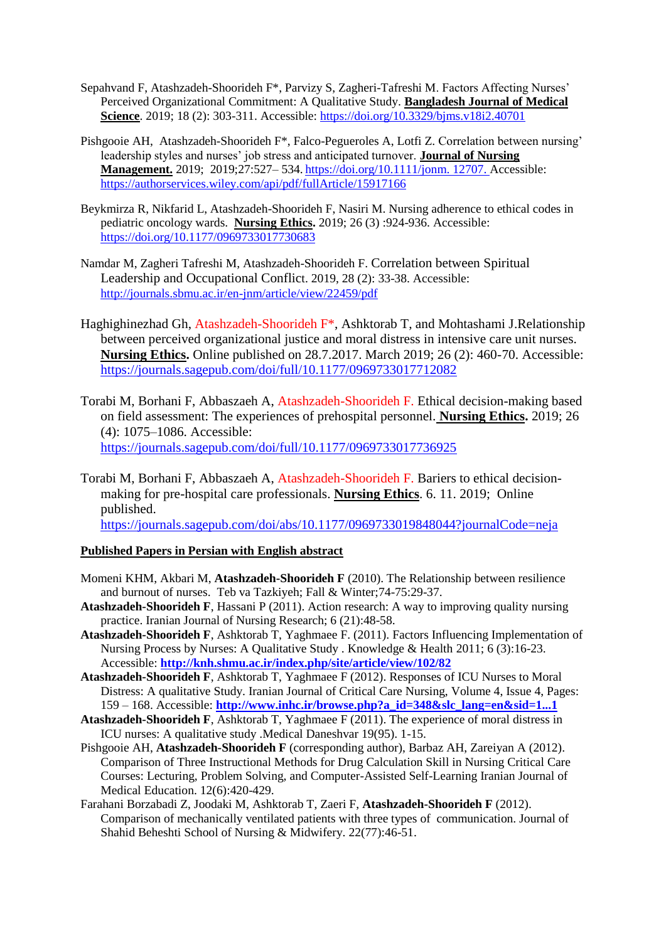- Sepahvand F, Atashzadeh-Shoorideh F\*, Parvizy S, Zagheri-Tafreshi M. Factors Affecting Nurses' Perceived Organizational Commitment: A Qualitative Study. **Bangladesh Journal of Medical Science**. 2019; 18 (2): 303-311. Accessible:<https://doi.org/10.3329/bjms.v18i2.40701>
- Pishgooie AH, [Atashzadeh-Shoorideh F\\*, F](https://onlinelibrary.wiley.com/action/doSearch?ContribAuthorStored=Atashzadeh-Shoorideh%2C+Foroozan)alco-Pegueroles A, Lotfi Z. [Correlation between nursing'](https://onlinelibrary.wiley.com/doi/10.1111/jonm.12607) leadership styles and nurses' job stress and anticipated turnover. **[Journal of Nursing](https://onlinelibrary.wiley.com/journal/13652834)  [Management.](https://onlinelibrary.wiley.com/journal/13652834)** 2019; 2019;27:527–534. [https://doi.org/10.1111/jonm. 12707.](https://doi.org/10.1111/jonm.%2012707) Accessible: <https://authorservices.wiley.com/api/pdf/fullArticle/15917166>
- Beykmirza R, Nikfarid L, Atashzadeh-Shoorideh F, Nasiri M. Nursing adherence to ethical codes in pediatric oncology wards. **Nursing Ethics.** 2019; 26 (3) :924-936. Accessible: <https://doi.org/10.1177/0969733017730683>
- Namdar M, Zagheri Tafreshi M, Atashzadeh-Shoorideh F. Correlation between Spiritual Leadership and Occupational Conflict. 2019, 28 (2): 33-38. Accessible: <http://journals.sbmu.ac.ir/en-jnm/article/view/22459/pdf>
- Haghighinezhad Gh, Atashzadeh-Shoorideh F\*, Ashktorab T, and Mohtashami J.Relationship between perceived organizational justice and moral distress in intensive care unit nurses. **Nursing Ethics.** Online published on 28.7.2017. March 2019; 26 (2): 460-70. Accessible: <https://journals.sagepub.com/doi/full/10.1177/0969733017712082>
- Torabi M, Borhani F, Abbaszaeh A, Atashzadeh-Shoorideh F. Ethical decision-making based on field assessment: The experiences of prehospital personnel. **Nursing Ethics.** 2019; 26 (4): 1075–1086. Accessible: <https://journals.sagepub.com/doi/full/10.1177/0969733017736925>
- Torabi M, Borhani F, Abbaszaeh A, Atashzadeh-Shoorideh F. Bariers to ethical decisionmaking for pre-hospital care professionals. **Nursing Ethics**. 6. 11. 2019; Online published. <https://journals.sagepub.com/doi/abs/10.1177/0969733019848044?journalCode=neja>

# **Published Papers in Persian with English abstract**

- Momeni KHM, Akbari M, **Atashzadeh-Shoorideh F** (2010). Th[e Relationship between resilience](http://en.journals.sid.ir/ViewPaper.aspx?ID=187731)  [and burnout of nurses.](http://en.journals.sid.ir/ViewPaper.aspx?ID=187731) Teb va Tazkiyeh; Fall & Winter;74-75:29-37.
- **Atashzadeh-Shoorideh F**, Hassani P (2011). Action research: A way to improving quality nursing practice. Iranian Journal of Nursing Research; 6 (21):48-58.
- **Atashzadeh-Shoorideh F**, Ashktorab T, Yaghmaee F. (2011). Factors Influencing Implementation of Nursing Process by Nurses: A Qualitative Study . Knowledge & Health 2011; 6 (3):16-23. Accessible: **http://knh.shmu.ac.ir/index.php/site/article/view/102/82**
- **Atashzadeh-Shoorideh F**, Ashktorab T, Yaghmaee F (2012). Responses of ICU Nurses to Moral Distress: A qualitative Study. Iranian Journal of Critical Care Nursing, Volume 4, Issue 4, Pages: 159 – 168. Accessible: **[http://www.inhc.ir/browse.php?a\\_id=348&slc\\_lang=en&sid=1...1](http://www.inhc.ir/browse.php?a_id=348&slc_lang=en&sid=1...1)**
- **Atashzadeh-Shoorideh F**, Ashktorab T, Yaghmaee F (2011). The experience of moral distress in ICU nurses: A qualitative study .Medical Daneshvar 19(95). 1-15.
- Pishgooie AH, **Atashzadeh-Shoorideh F** (corresponding author), Barbaz AH, Zareiyan A (2012). Comparison of Three Instructional Methods for Drug Calculation Skill in Nursing Critical Care Courses: Lecturing, Problem Solving, and Computer-Assisted Self-Learning Iranian Journal of Medical Education. 12(6):420-429.
- Farahani Borzabadi Z, Joodaki M, Ashktorab T, Zaeri F, **Atashzadeh-Shoorideh F** (2012). Comparison of mechanically ventilated patients with three types of communication. Journal of Shahid Beheshti School of Nursing & Midwifery. 22(77):46-51.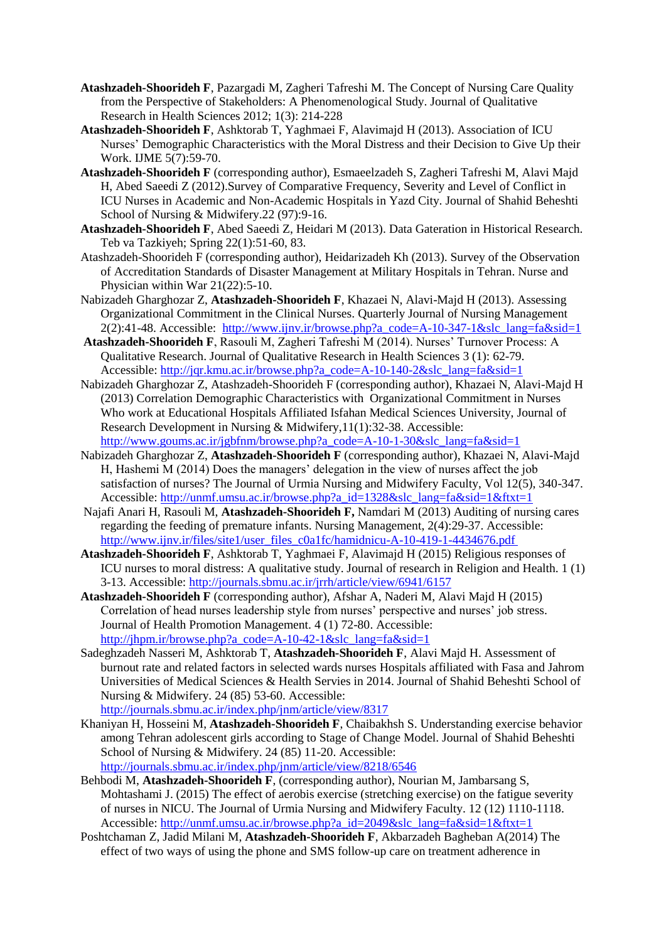- **Atashzadeh-Shoorideh F**, Pazargadi M, Zagheri Tafreshi M. The Concept of Nursing Care Quality from the Perspective of Stakeholders: A Phenomenological Study. Journal of Qualitative Research in Health Sciences 2012; 1(3): 214-228
- **Atashzadeh-Shoorideh F**, Ashktorab T, Yaghmaei F, Alavimajd H (2013). Association of ICU Nurses' Demographic Characteristics with the Moral Distress and their Decision to Give Up their Work. IJME 5(7):59-70.
- **Atashzadeh-Shoorideh F** (corresponding author), Esmaeelzadeh S, Zagheri Tafreshi M, Alavi Majd H, Abed Saeedi Z (2012).Survey of Comparative Frequency, Severity and Level of Conflict in ICU Nurses in Academic and Non-Academic Hospitals in Yazd City. Journal of Shahid Beheshti School of Nursing & Midwifery.22 (97):9-16.
- **Atashzadeh-Shoorideh F**, Abed Saeedi Z, Heidari M (2013). Data Gateration in Historical Research. Teb va Tazkiyeh; Spring 22(1):51-60, 83.
- Atashzadeh-Shoorideh F (corresponding author), Heidarizadeh Kh (2013). Survey of the Observation of Accreditation Standards of Disaster Management at Military Hospitals in Tehran. Nurse and Physician within War 21(22):5-10.
- Nabizadeh Gharghozar Z, **Atashzadeh-Shoorideh F**, Khazaei N, Alavi-Majd H (2013). Assessing Organizational Commitment in the Clinical Nurses. Quarterly Journal of Nursing Management  $2(2):41-48$ . Accessible: [http://www.ijnv.ir/browse.php?a\\_code=A-10-347-1&slc\\_lang=fa&sid=1](http://www.ijnv.ir/browse.php?a_code=A-10-347-1&slc_lang=fa&sid=1)
- **Atashzadeh-Shoorideh F**, Rasouli M, Zagheri Tafreshi M (2014). Nurses' Turnover Process: A Qualitative Research. Journal of Qualitative Research in Health Sciences 3 (1): 62-79. Accessible: [http://jqr.kmu.ac.ir/browse.php?a\\_code=A-10-140-2&slc\\_lang=fa&sid=1](http://jqr.kmu.ac.ir/browse.php?a_code=A-10-140-2&slc_lang=fa&sid=1)
- Nabizadeh Gharghozar Z, Atashzadeh-Shoorideh F (corresponding author), Khazaei N, Alavi-Majd H (2013) Correlation Demographic Characteristics with Organizational Commitment in Nurses Who work at Educational Hospitals Affiliated Isfahan Medical Sciences University, Journal of Research Development in Nursing & Midwifery,11(1):32-38. Accessible: [http://www.goums.ac.ir/jgbfnm/browse.php?a\\_code=A-10-1-30&slc\\_lang=fa&sid=1](http://www.goums.ac.ir/jgbfnm/browse.php?a_code=A-10-1-30&slc_lang=fa&sid=1)
- Nabizadeh Gharghozar Z, **Atashzadeh-Shoorideh F** (corresponding author), Khazaei N, Alavi-Majd H, Hashemi M (2014) Does the managers' delegation in the view of nurses affect the job satisfaction of nurses? The Journal of Urmia Nursing and Midwifery Faculty, Vol 12(5), 340-347. Accessible: [http://unmf.umsu.ac.ir/browse.php?a\\_id=1328&slc\\_lang=fa&sid=1&ftxt=1](http://unmf.umsu.ac.ir/browse.php?a_id=1328&slc_lang=fa&sid=1&ftxt=1)
- Najafi Anari H, Rasouli M, **Atashzadeh-Shoorideh F,** Namdari M (2013) Auditing of nursing cares regarding the feeding of premature infants. Nursing Management, 2(4):29-37. Accessible: [http://www.ijnv.ir/files/site1/user\\_files\\_c0a1fc/hamidnicu-A-10-419-1-4434676.pdf](http://www.ijnv.ir/files/site1/user_files_c0a1fc/hamidnicu-A-10-419-1-4434676.pdf)
- **Atashzadeh-Shoorideh F**, Ashktorab T, Yaghmaei F, Alavimajd H (2015) Religious responses of ICU nurses to moral distress: A qualitative study. Journal of research in Religion and Health. 1 (1) 3-13. Accessible: <http://journals.sbmu.ac.ir/jrrh/article/view/6941/6157>
- **Atashzadeh-Shoorideh F** (corresponding author), Afshar A, Naderi M, Alavi Majd H (2015) Correlation of head nurses leadership style from nurses' perspective and nurses' job stress. Journal of Health Promotion Management. 4 (1) 72-80. Accessible: [http://jhpm.ir/browse.php?a\\_code=A-10-42-1&slc\\_lang=fa&sid=1](http://jhpm.ir/browse.php?a_code=A-10-42-1&slc_lang=fa&sid=1)
- Sadeghzadeh Nasseri M, Ashktorab T, **Atashzadeh-Shoorideh F**, Alavi Majd H. Assessment of burnout rate and related factors in selected wards nurses Hospitals affiliated with Fasa and Jahrom Universities of Medical Sciences & Health Servies in 2014. Journal of Shahid Beheshti School of Nursing & Midwifery. 24 (85) 53-60. Accessible: <http://journals.sbmu.ac.ir/index.php/jnm/article/view/8317>
- Khaniyan H, Hosseini M, **Atashzadeh-Shoorideh F**, Chaibakhsh S. Understanding exercise behavior among Tehran adolescent girls according to Stage of Change Model. Journal of Shahid Beheshti School of Nursing & Midwifery. 24 (85) 11-20. Accessible: <http://journals.sbmu.ac.ir/index.php/jnm/article/view/8218/6546>
- Behbodi M, **Atashzadeh-Shoorideh F**, (corresponding author), Nourian M, Jambarsang S, Mohtashami J. (2015) The effect of aerobis exercise (stretching exercise) on the fatigue severity of nurses in NICU. The Journal of Urmia Nursing and Midwifery Faculty. 12 (12) 1110-1118. Accessible: [http://unmf.umsu.ac.ir/browse.php?a\\_id=2049&slc\\_lang=fa&sid=1&ftxt=1](http://unmf.umsu.ac.ir/browse.php?a_id=2049&slc_lang=fa&sid=1&ftxt=1)
- Poshtchaman Z, Jadid Milani M, **Atashzadeh-Shoorideh F**, Akbarzadeh Bagheban A(2014) The effect of two ways of using the phone and SMS follow-up care on treatment adherence in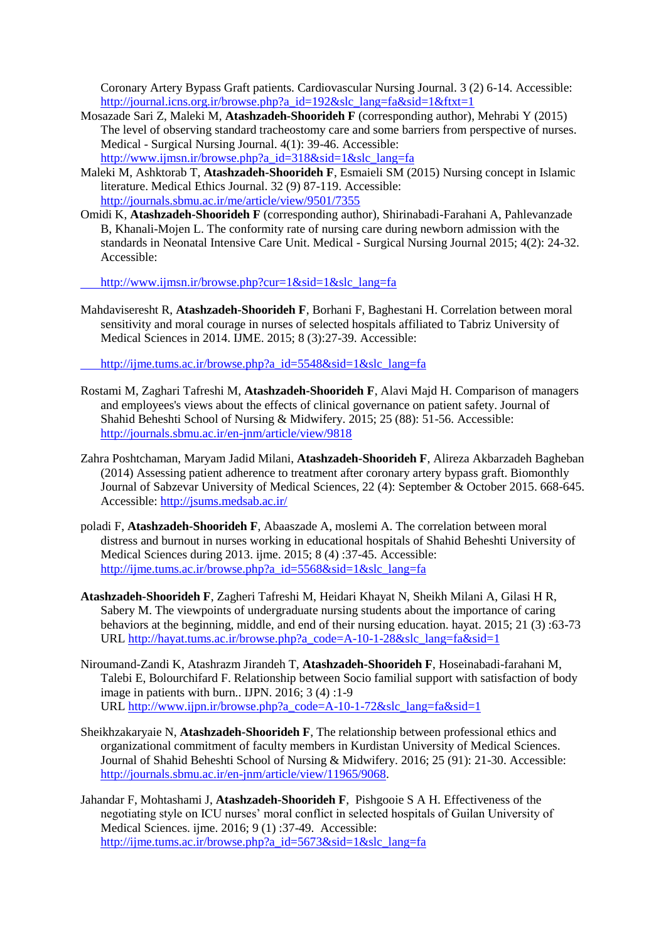Coronary Artery Bypass Graft patients. Cardiovascular Nursing Journal. 3 (2) 6-14. Accessible: [http://journal.icns.org.ir/browse.php?a\\_id=192&slc\\_lang=fa&sid=1&ftxt=1](http://journal.icns.org.ir/browse.php?a_id=192&slc_lang=fa&sid=1&ftxt=1)

- Mosazade Sari Z, Maleki M, **Atashzadeh-Shoorideh F** (corresponding author), Mehrabi Y (2015) The level of observing standard tracheostomy care and some barriers from perspective of nurses. Medical - Surgical Nursing Journal. 4(1): 39-46. Accessible: [http://www.ijmsn.ir/browse.php?a\\_id=318&sid=1&slc\\_lang=fa](http://www.ijmsn.ir/browse.php?a_id=318&sid=1&slc_lang=fa)
- Maleki M, Ashktorab T, **Atashzadeh-Shoorideh F**, Esmaieli SM (2015) Nursing concept in Islamic literature. Medical Ethics Journal. 32 (9) 87-119. Accessible: <http://journals.sbmu.ac.ir/me/article/view/9501/7355>
- Omidi K, **Atashzadeh-Shoorideh F** (corresponding author), Shirinabadi-Farahani A, Pahlevanzade B, Khanali-Mojen L. The conformity rate of nursing care during newborn admission with the standards in Neonatal Intensive Care Unit. Medical - Surgical Nursing Journal 2015; 4(2): 24-32. Accessible:

[http://www.ijmsn.ir/browse.php?cur=1&sid=1&slc\\_lang=fa](http://www.ijmsn.ir/browse.php?cur=1&sid=1&slc_lang=fa)

Mahdaviseresht R, **Atashzadeh-Shoorideh F**, Borhani F, Baghestani H. Correlation between moral sensitivity and moral courage in nurses of selected hospitals affiliated to Tabriz University of Medical Sciences in 2014. IJME. 2015; 8 (3):27-39. Accessible:

http://ijme.tums.ac.ir/browse.php?a\_id=5548&sid=1&slc\_lang=fa

- Rostami M, Zaghari Tafreshi M, **Atashzadeh-Shoorideh F**, Alavi Majd H. Comparison of managers and employees's views about the effects of clinical governance on patient safety. Journal of Shahid Beheshti School of Nursing & Midwifery. 2015; 25 (88): 51-56. Accessible: <http://journals.sbmu.ac.ir/en-jnm/article/view/9818>
- Zahra Poshtchaman, Maryam Jadid Milani, **Atashzadeh-Shoorideh F**, Alireza Akbarzadeh Bagheban (2014) Assessing patient adherence to treatment after coronary artery bypass graft. Biomonthly Journal of Sabzevar University of Medical Sciences, 22 (4): September & October 2015. 668-645. Accessible:<http://jsums.medsab.ac.ir/>
- poladi F, **Atashzadeh-Shoorideh F**, Abaaszade A, moslemi A. The correlation between moral distress and burnout in nurses working in educational hospitals of Shahid Beheshti University of Medical Sciences during 2013. ijme. 2015; 8 (4) :37-45. Accessible: http://ijme.tums.ac.ir/browse.php?a\_id=5568&sid=1&slc\_lang=fa
- **Atashzadeh-Shoorideh F**, Zagheri Tafreshi M, Heidari Khayat N, Sheikh Milani A, Gilasi H R, Sabery M. The viewpoints of undergraduate nursing students about the importance of caring behaviors at the beginning, middle, and end of their nursing education. hayat. 2015; 21 (3) :63-73 UR[L http://hayat.tums.ac.ir/browse.php?a\\_code=A-10-1-28&slc\\_lang=fa&sid=1](http://hayat.tums.ac.ir/browse.php?a_code=A-10-1-28&slc_lang=fa&sid=1)
- Niroumand-Zandi K, Atashrazm Jirandeh T, **Atashzadeh-Shoorideh F**, Hoseinabadi-farahani M, Talebi E, Bolourchifard F. Relationship between Socio familial support with satisfaction of body image in patients with burn.. IJPN. 2016; 3 (4) :1-9 UR[L http://www.ijpn.ir/browse.php?a\\_code=A-10-1-72&slc\\_lang=fa&sid=1](http://www.ijpn.ir/browse.php?a_code=A-10-1-72&slc_lang=fa&sid=1)
- Sheikhzakaryaie N, **Atashzadeh-Shoorideh F**, [The relationship between professional ethics and](http://journals.sbmu.ac.ir/en-jnm/article/view/11965)  [organizational commitment of faculty members in Kurdistan University of Medical Sciences.](http://journals.sbmu.ac.ir/en-jnm/article/view/11965) Journal of Shahid Beheshti School of Nursing & Midwifery. 2016; 25 (91): 21-30. Accessible: [http://journals.sbmu.ac.ir/en-jnm/article/view/11965/9068.](http://journals.sbmu.ac.ir/en-jnm/article/view/11965/9068)
- Jahandar F, Mohtashami J, **Atashzadeh-Shoorideh F**, Pishgooie S A H. Effectiveness of the negotiating style on ICU nurses' moral conflict in selected hospitals of Guilan University of Medical Sciences. ijme. 2016; 9 (1) :37-49. Accessible: [http://ijme.tums.ac.ir/browse.php?a\\_id=5673&sid=1&slc\\_lang=fa](http://ijme.tums.ac.ir/browse.php?a_id=5673&sid=1&slc_lang=fa)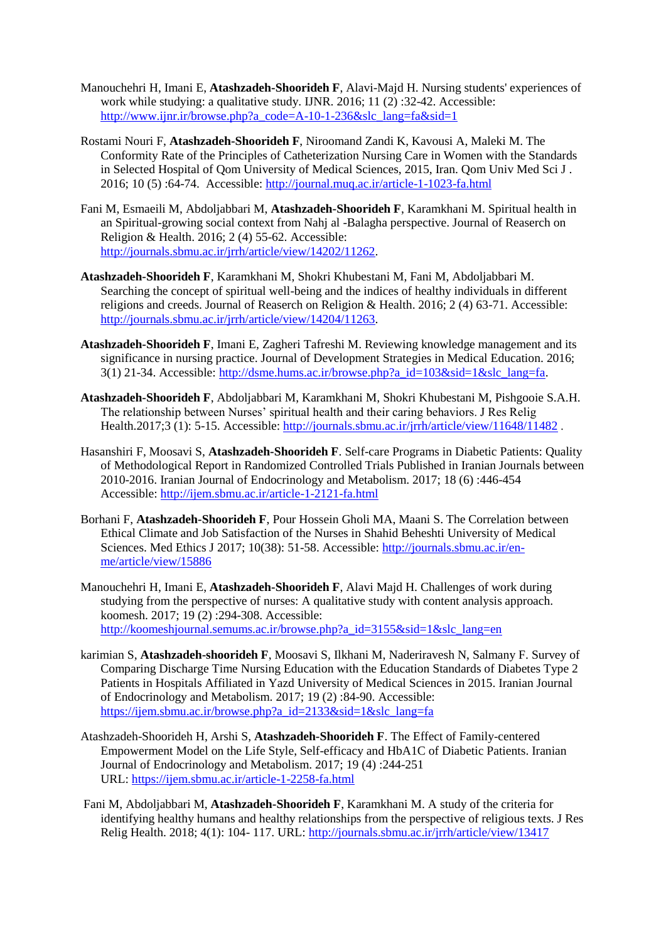- Manouchehri H, Imani E, **Atashzadeh-Shoorideh F**, Alavi-Majd H. Nursing students' experiences of work while studying: a qualitative study. IJNR. 2016; 11 (2) :32-42. Accessible: [http://www.ijnr.ir/browse.php?a\\_code=A-10-1-236&slc\\_lang=fa&sid=1](http://www.ijnr.ir/browse.php?a_code=A-10-1-236&slc_lang=fa&sid=1)
- Rostami Nouri F, **Atashzadeh-Shoorideh F**, Niroomand Zandi K, Kavousi A, Maleki M. The Conformity Rate of the Principles of Catheterization Nursing Care in Women with the Standards in Selected Hospital of Qom University of Medical Sciences, 2015, Iran. Qom Univ Med Sci J . 2016; 10 (5) :64-74. Accessible:<http://journal.muq.ac.ir/article-1-1023-fa.html>
- Fani M, Esmaeili M, Abdoljabbari M, **Atashzadeh-Shoorideh F**, Karamkhani M. Spiritual health in an Spiritual-growing social context from Nahj al -Balagha perspective. Journal of Reaserch on Religion & Health. 2016; 2 (4) 55-62. Accessible: [http://journals.sbmu.ac.ir/jrrh/article/view/14202/11262.](http://journals.sbmu.ac.ir/jrrh/article/view/14202/11262)
- **Atashzadeh-Shoorideh F**, Karamkhani M, Shokri Khubestani M, Fani M, Abdoljabbari M. Searching the concept of spiritual well-being and the indices of healthy individuals in different religions and creeds. Journal of Reaserch on Religion & Health. 2016; 2 (4) 63-71. Accessible: [http://journals.sbmu.ac.ir/jrrh/article/view/14204/11263.](http://journals.sbmu.ac.ir/jrrh/article/view/14204/11263)
- **Atashzadeh-Shoorideh F**, Imani E, Zagheri Tafreshi M. Reviewing knowledge management and its significance in nursing practice. Journal of Development Strategies in Medical Education. 2016; 3(1) 21-34. Accessible: [http://dsme.hums.ac.ir/browse.php?a\\_id=103&sid=1&slc\\_lang=fa.](http://dsme.hums.ac.ir/browse.php?a_id=103&sid=1&slc_lang=fa)
- **Atashzadeh-Shoorideh F**, Abdoljabbari M, Karamkhani M, Shokri Khubestani M, Pishgooie S.A.H. The relationship between Nurses' spiritual health and their caring behaviors. J Res Relig Health.2017;3 (1): 5-15. Accessible:<http://journals.sbmu.ac.ir/jrrh/article/view/11648/11482> .
- Hasanshiri F, Moosavi S, **Atashzadeh-Shoorideh F**. Self-care Programs in Diabetic Patients: Quality of Methodological Report in Randomized Controlled Trials Published in Iranian Journals between 2010-2016. Iranian Journal of Endocrinology and Metabolism. 2017; 18 (6) :446-454 Accessible:<http://ijem.sbmu.ac.ir/article-1-2121-fa.html>
- Borhani F, **Atashzadeh-Shoorideh F**, Pour Hossein Gholi MA, Maani S. The Correlation between Ethical Climate and Job Satisfaction of the Nurses in Shahid Beheshti University of Medical Sciences. Med Ethics J 2017; 10(38): 51-58. Accessible[: http://journals.sbmu.ac.ir/en](http://journals.sbmu.ac.ir/en-me/article/view/15886)[me/article/view/15886](http://journals.sbmu.ac.ir/en-me/article/view/15886)
- Manouchehri H, Imani E, **Atashzadeh-Shoorideh F**, Alavi Majd H. Challenges of work during studying from the perspective of nurses: A qualitative study with content analysis approach. koomesh. 2017; 19 (2) :294-308. Accessible: [http://koomeshjournal.semums.ac.ir/browse.php?a\\_id=3155&sid=1&slc\\_lang=en](http://koomeshjournal.semums.ac.ir/browse.php?a_id=3155&sid=1&slc_lang=en)
- karimian S, **Atashzadeh-shoorideh F**, Moosavi S, Ilkhani M, Naderiravesh N, Salmany F. Survey of Comparing Discharge Time Nursing Education with the Education Standards of Diabetes Type 2 Patients in Hospitals Affiliated in Yazd University of Medical Sciences in 2015. Iranian Journal of Endocrinology and Metabolism. 2017; 19 (2) :84-90. Accessible: [https://ijem.sbmu.ac.ir/browse.php?a\\_id=2133&sid=1&slc\\_lang=fa](https://ijem.sbmu.ac.ir/browse.php?a_id=2133&sid=1&slc_lang=fa)
- Atashzadeh-Shoorideh H, Arshi S, **Atashzadeh-Shoorideh F**. The Effect of Family-centered Empowerment Model on the Life Style, Self-efficacy and HbA1C of Diabetic Patients. Iranian Journal of Endocrinology and Metabolism. 2017; 19 (4) :244-251 URL:<https://ijem.sbmu.ac.ir/article-1-2258-fa.html>
- Fani M, Abdoljabbari M, **Atashzadeh-Shoorideh F**, Karamkhani M. A study of the criteria for identifying healthy humans and healthy relationships from the perspective of religious texts. J Res Relig Health. 2018; 4(1): 104- 117. URL:<http://journals.sbmu.ac.ir/jrrh/article/view/13417>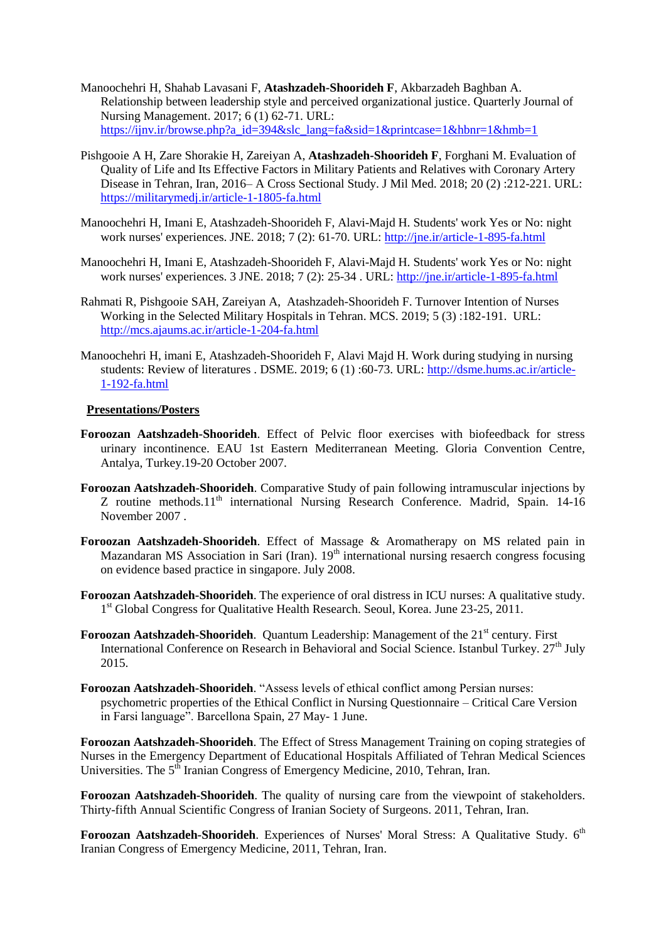- Manoochehri H, Shahab Lavasani F, **Atashzadeh-Shoorideh F**, Akbarzadeh Baghban A. Relationship between leadership style and perceived organizational justice. Quarterly Journal of Nursing Management. 2017; 6 (1) 62-71. URL: [https://ijnv.ir/browse.php?a\\_id=394&slc\\_lang=fa&sid=1&printcase=1&hbnr=1&hmb=1](https://ijnv.ir/browse.php?a_id=394&slc_lang=fa&sid=1&printcase=1&hbnr=1&hmb=1)
- Pishgooie A H, Zare Shorakie H, Zareiyan A, **Atashzadeh-Shoorideh F**, Forghani M. Evaluation of Quality of Life and Its Effective Factors in Military Patients and Relatives with Coronary Artery Disease in Tehran, Iran, 2016– A Cross Sectional Study. J Mil Med. 2018; 20 (2) :212-221. URL: <https://militarymedj.ir/article-1-1805-fa.html>
- Manoochehri H, Imani E, Atashzadeh-Shoorideh F, Alavi-Majd H. Students' work Yes or No: night work nurses' experiences. JNE. 2018; 7 (2): 61-70. URL: <http://jne.ir/article-1-895-fa.html>
- Manoochehri H, Imani E, Atashzadeh-Shoorideh F, Alavi-Majd H. Students' work Yes or No: night work nurses' experiences. 3 JNE. 2018; 7 (2): 25-34 . URL:<http://jne.ir/article-1-895-fa.html>
- Rahmati R, Pishgooie SAH, Zareiyan A, Atashzadeh-Shoorideh F. Turnover Intention of Nurses Working in the Selected Military Hospitals in Tehran. MCS. 2019; 5 (3) :182-191. URL: <http://mcs.ajaums.ac.ir/article-1-204-fa.html>
- Manoochehri H, imani E, Atashzadeh-Shoorideh F, Alavi Majd H. Work during studying in nursing students: Review of literatures . DSME. 2019; 6 (1) :60-73. URL: [http://dsme.hums.ac.ir/article-](http://dsme.hums.ac.ir/article-1-192-fa.html)[1-192-fa.html](http://dsme.hums.ac.ir/article-1-192-fa.html)

#### **Presentations/Posters**

- **Foroozan Aatshzadeh-Shoorideh**. Effect of Pelvic floor exercises with biofeedback for stress urinary incontinence. EAU 1st Eastern Mediterranean Meeting. Gloria Convention Centre, Antalya, Turkey.19-20 October 2007.
- **Foroozan Aatshzadeh-Shoorideh**. Comparative Study of pain following intramuscular injections by Z routine methods.11<sup>th</sup> international Nursing Research Conference. Madrid, Spain. 14-16 November 2007 .
- **Foroozan Aatshzadeh-Shoorideh**. Effect of Massage & Aromatherapy on MS related pain in Mazandaran MS Association in Sari (Iran). 19<sup>th</sup> international nursing resaerch congress focusing on evidence based practice in singapore. July 2008.
- **Foroozan Aatshzadeh-Shoorideh**. The experience of oral distress in ICU nurses: A qualitative study. 1<sup>st</sup> Global Congress for Qualitative Health Research. Seoul, Korea. June 23-25, 2011.
- **Foroozan Aatshzadeh-Shoorideh.** Quantum Leadership: Management of the 21<sup>st</sup> century. First International Conference on Research in Behavioral and Social Science. Istanbul Turkey.  $27<sup>th</sup>$  July 2015.
- **Foroozan Aatshzadeh-Shoorideh**. "Assess levels of ethical conflict among Persian nurses: psychometric properties of the Ethical Conflict in Nursing Questionnaire – Critical Care Version in Farsi language". Barcellona Spain, 27 May- 1 June.

**Foroozan Aatshzadeh-Shoorideh**. The Effect of Stress Management Training on coping strategies of Nurses in the Emergency Department of Educational Hospitals Affiliated of Tehran Medical Sciences Universities. The  $5<sup>th</sup>$  Iranian Congress of Emergency Medicine, 2010, Tehran, Iran.

**Foroozan Aatshzadeh-Shoorideh**. The quality of nursing care from the viewpoint of stakeholders. Thirty-fifth Annual Scientific Congress of Iranian Society of Surgeons. 2011, Tehran, Iran.

Foroozan Aatshzadeh-Shoorideh. Experiences of Nurses' Moral Stress: A Qualitative Study. 6<sup>th</sup> Iranian Congress of Emergency Medicine, 2011, Tehran, Iran.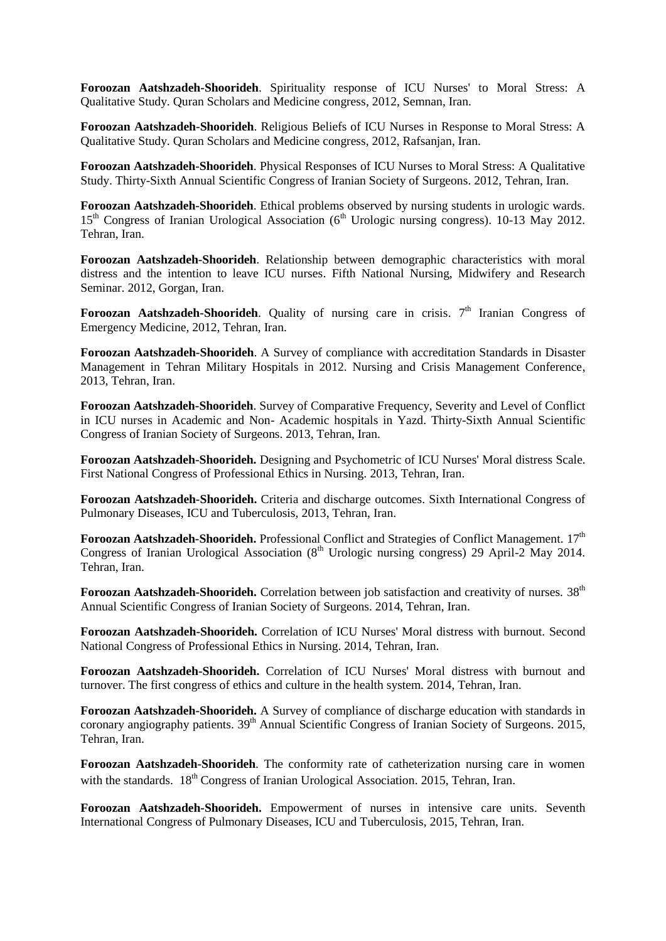**Foroozan Aatshzadeh-Shoorideh**. Spirituality response of ICU Nurses' to Moral Stress: A Qualitative Study. Quran Scholars and Medicine congress, 2012, Semnan, Iran.

**Foroozan Aatshzadeh-Shoorideh**. Religious Beliefs of ICU Nurses in Response to Moral Stress: A Qualitative Study. Quran Scholars and Medicine congress, 2012, Rafsanjan, Iran.

**Foroozan Aatshzadeh-Shoorideh**. Physical Responses of ICU Nurses to Moral Stress: A Qualitative Study. Thirty-Sixth Annual Scientific Congress of Iranian Society of Surgeons. 2012, Tehran, Iran.

**Foroozan Aatshzadeh-Shoorideh**. Ethical problems observed by nursing students in urologic wards.  $15<sup>th</sup>$  Congress of Iranian Urological Association (6<sup>th</sup> Urologic nursing congress). 10-13 May 2012. Tehran, Iran.

**Foroozan Aatshzadeh-Shoorideh**. Relationship between demographic characteristics with moral distress and the intention to leave ICU nurses. Fifth National Nursing, Midwifery and Research Seminar. 2012, Gorgan, Iran.

Foroozan Aatshzadeh-Shoorideh. Quality of nursing care in crisis. 7<sup>th</sup> Iranian Congress of Emergency Medicine, 2012, Tehran, Iran.

**Foroozan Aatshzadeh-Shoorideh**. A Survey of compliance with accreditation Standards in Disaster Management in Tehran Military Hospitals in 2012. Nursing and Crisis Management Conference, 2013, Tehran, Iran.

**Foroozan Aatshzadeh-Shoorideh**. Survey of Comparative Frequency, Severity and Level of Conflict in ICU nurses in Academic and Non- Academic hospitals in Yazd. Thirty-Sixth Annual Scientific Congress of Iranian Society of Surgeons. 2013, Tehran, Iran.

**Foroozan Aatshzadeh-Shoorideh.** Designing and Psychometric of ICU Nurses' Moral distress Scale. First National Congress of Professional Ethics in Nursing. 2013, Tehran, Iran.

**Foroozan Aatshzadeh-Shoorideh.** Criteria and discharge outcomes. Sixth International Congress of Pulmonary Diseases, ICU and Tuberculosis, 2013, Tehran, Iran.

Foroozan Aatshzadeh-Shoorideh. Professional Conflict and Strategies of Conflict Management. 17<sup>th</sup> Congress of Iranian Urological Association ( $8<sup>th</sup>$  Urologic nursing congress) 29 April-2 May 2014. Tehran, Iran.

Foroozan Aatshzadeh-Shoorideh. Correlation between job satisfaction and creativity of nurses. 38<sup>th</sup> Annual Scientific Congress of Iranian Society of Surgeons. 2014, Tehran, Iran.

**Foroozan Aatshzadeh-Shoorideh.** Correlation of ICU Nurses' Moral distress with burnout. Second National Congress of Professional Ethics in Nursing. 2014, Tehran, Iran.

**Foroozan Aatshzadeh-Shoorideh.** Correlation of ICU Nurses' Moral distress with burnout and turnover. The first congress of ethics and culture in the health system. 2014, Tehran, Iran.

**Foroozan Aatshzadeh-Shoorideh.** A Survey of compliance of discharge education with standards in coronary angiography patients.  $39<sup>th</sup>$  Annual Scientific Congress of Iranian Society of Surgeons. 2015, Tehran, Iran.

**Foroozan Aatshzadeh-Shoorideh**. The conformity rate of catheterization nursing care in women with the standards.  $18<sup>th</sup>$  Congress of Iranian Urological Association. 2015, Tehran, Iran.

**Foroozan Aatshzadeh-Shoorideh.** Empowerment of nurses in intensive care units. Seventh International Congress of Pulmonary Diseases, ICU and Tuberculosis, 2015, Tehran, Iran.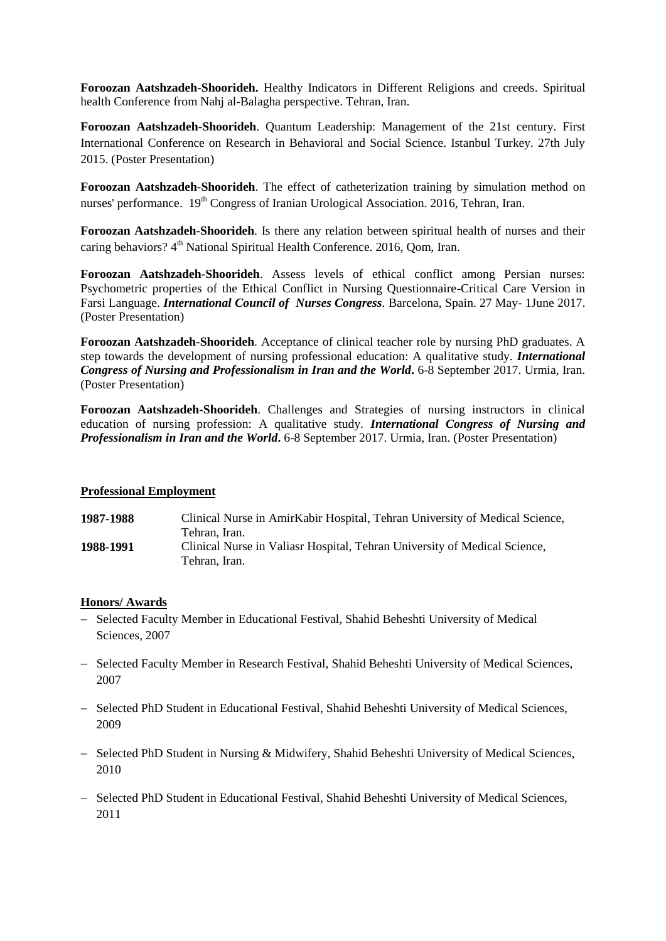**Foroozan Aatshzadeh-Shoorideh.** Healthy Indicators in Different Religions and creeds. Spiritual health Conference from Nahj al-Balagha perspective. Tehran, Iran.

**Foroozan Aatshzadeh-Shoorideh**. Quantum Leadership: Management of the 21st century. First International Conference on Research in Behavioral and Social Science. Istanbul Turkey. 27th July 2015. (Poster Presentation)

**Foroozan Aatshzadeh-Shoorideh**. The effect of catheterization training by simulation method on nurses' performance. 19<sup>th</sup> Congress of Iranian Urological Association. 2016, Tehran, Iran.

**Foroozan Aatshzadeh-Shoorideh**. Is there any relation between spiritual health of nurses and their caring behaviors? 4<sup>th</sup> National Spiritual Health Conference. 2016, Qom, Iran.

**Foroozan Aatshzadeh-Shoorideh**. Assess levels of ethical conflict among Persian nurses: Psychometric properties of the Ethical Conflict in Nursing Questionnaire-Critical Care Version in Farsi Language. *International Council of Nurses Congress.* Barcelona, Spain. 27 May- 1June 2017. (Poster Presentation)

**Foroozan Aatshzadeh-Shoorideh**. Acceptance of clinical teacher role by nursing PhD graduates. A step towards the development of nursing professional education: A qualitative study. *International Congress of Nursing and Professionalism in Iran and the World***.** 6-8 September 2017. Urmia, Iran. (Poster Presentation)

**Foroozan Aatshzadeh-Shoorideh**. Challenges and Strategies of nursing instructors in clinical education of nursing profession: A qualitative study. *International Congress of Nursing and Professionalism in Iran and the World***.** 6-8 September 2017. Urmia, Iran. (Poster Presentation)

### **Professional Employment**

| 1987-1988 | Clinical Nurse in AmirKabir Hospital, Tehran University of Medical Science,                |
|-----------|--------------------------------------------------------------------------------------------|
|           | Tehran. Iran.                                                                              |
| 1988-1991 | Clinical Nurse in Valiasr Hospital, Tehran University of Medical Science,<br>Tehran. Iran. |

#### **Honors/ Awards**

- Selected Faculty Member in Educational Festival, Shahid Beheshti University of Medical Sciences, 2007
- Selected Faculty Member in Research Festival, Shahid Beheshti University of Medical Sciences, 2007
- Selected PhD Student in Educational Festival, Shahid Beheshti University of Medical Sciences, 2009
- Selected PhD Student in Nursing & Midwifery, Shahid Beheshti University of Medical Sciences, 2010
- Selected PhD Student in Educational Festival, Shahid Beheshti University of Medical Sciences, 2011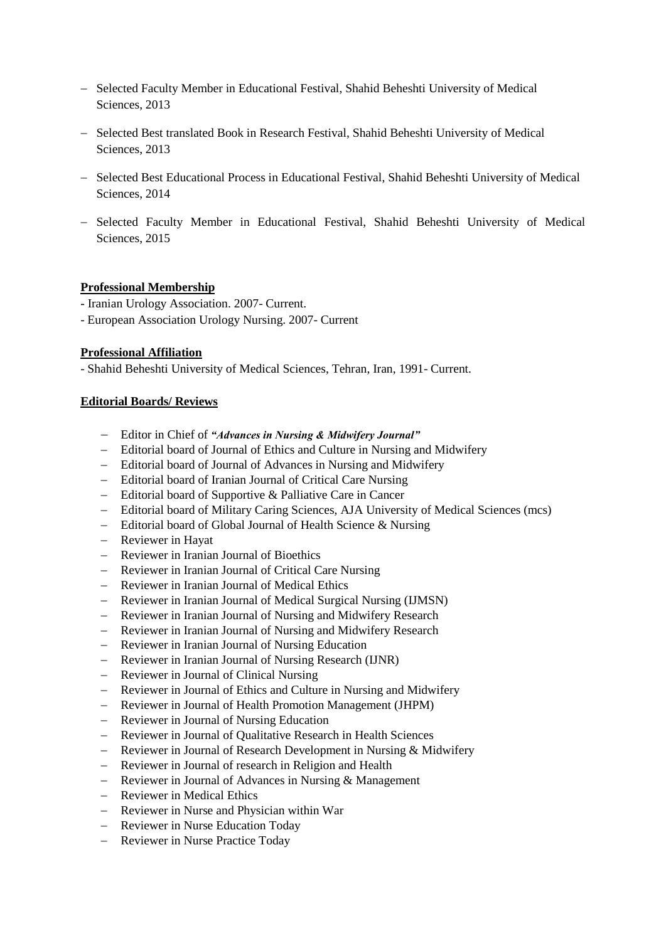- Selected Faculty Member in Educational Festival, Shahid Beheshti University of Medical Sciences, 2013
- Selected Best translated Book in Research Festival, Shahid Beheshti University of Medical Sciences, 2013
- Selected Best Educational Process in Educational Festival, Shahid Beheshti University of Medical Sciences, 2014
- Selected Faculty Member in Educational Festival, Shahid Beheshti University of Medical Sciences, 2015

### **Professional Membership**

- **-** Iranian Urology Association. 2007- Current.
- European Association Urology Nursing. 2007- Current

### **Professional Affiliation**

- Shahid Beheshti University of Medical Sciences, Tehran, Iran, 1991- Current.

## **Editorial Boards/ Reviews**

- Editor in Chief of *"Advances in Nursing & Midwifery Journal"*
- Editorial board of Journal of Ethics and Culture in Nursing and Midwifery
- Editorial board of Journal of Advances in Nursing and Midwifery
- Editorial board of Iranian Journal of Critical Care Nursing
- Editorial board of Supportive  $&$  Palliative Care in Cancer
- Editorial board of Military Caring Sciences, AJA University of Medical Sciences (mcs)
- Editorial board of Global Journal of Health Science & Nursing
- Reviewer in Hayat
- Reviewer in Iranian Journal of Bioethics
- Reviewer in Iranian Journal of Critical Care Nursing
- Reviewer in Iranian Journal of Medical Ethics
- Reviewer in Iranian Journal of Medical Surgical Nursing (IJMSN)
- Reviewer in Iranian Journal of Nursing and Midwifery Research
- Reviewer in Iranian Journal of Nursing and Midwifery Research
- Reviewer in Iranian Journal of Nursing Education
- Reviewer in Iranian Journal of Nursing Research (IJNR)
- Reviewer in Journal of Clinical Nursing
- Reviewer in Journal of Ethics and Culture in Nursing and Midwifery
- Reviewer in Journal of Health Promotion Management (JHPM)
- Reviewer in Journal of Nursing Education
- Reviewer in Journal of Qualitative Research in Health Sciences
- Reviewer in [Journal of Research Development in Nursing & Midwifery](http://www.goums.ac.ir/jgbfnm/files/site1/111.jpg)
- Reviewer in Journal of research in Religion and Health
- Reviewer in Journal of Advances in Nursing & Management
- Reviewer in Medical Ethics
- Reviewer in Nurse and Physician within War
- Reviewer in Nurse Education Today
- Reviewer in Nurse Practice Today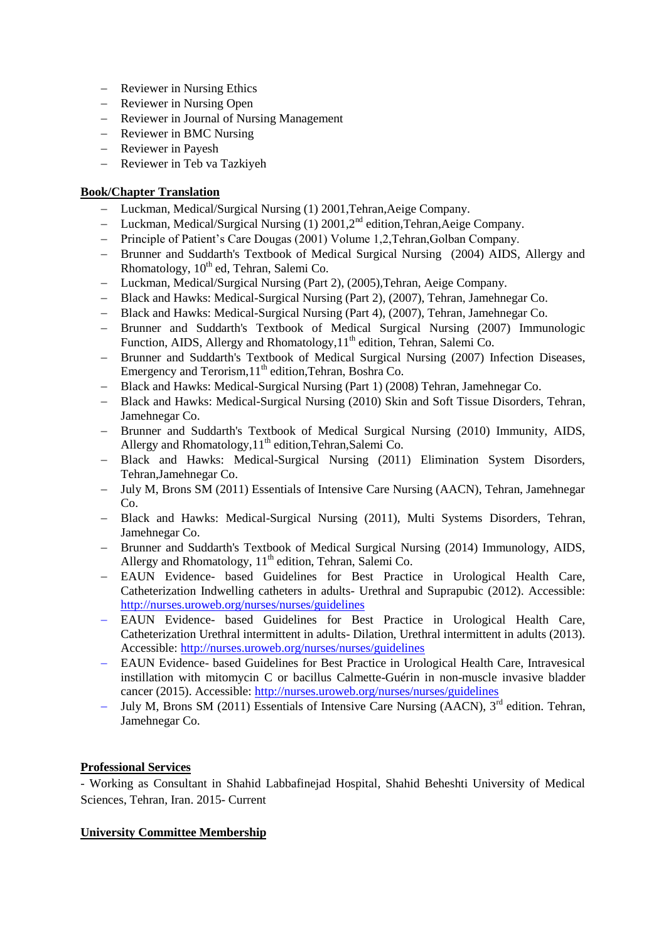- Reviewer in Nursing Ethics
- Reviewer in Nursing Open
- Reviewer in Journal of Nursing Management
- Reviewer in BMC Nursing
- Reviewer in Payesh
- Reviewer in Teb va Tazkiyeh

# **Book/Chapter Translation**

- Luckman, Medical/Surgical Nursing (1) 2001,Tehran,Aeige Company.
- Luckman, Medical/Surgical Nursing (1) 2001,2<sup>nd</sup> edition, Tehran, Aeige Company.
- Principle of Patient's Care Dougas (2001) Volume 1,2,Tehran,Golban Company.
- [Brunner and Suddarth's Textbook of Medical Surgical Nursing](http://www.amazon.ca/Brunner-Suddarths-Textbook-Medical-Surgical/dp/0781785898) (2004) AIDS, Allergy and Rhomatology,  $10<sup>th</sup>$  ed, Tehran, Salemi Co.
- Luckman, Medical/Surgical Nursing (Part 2), (2005),Tehran, Aeige Company.
- Black and Hawks: Medical-Surgical Nursing (Part 2), (2007), Tehran, Jamehnegar Co.
- Black and Hawks: Medical-Surgical Nursing (Part 4), (2007), Tehran, Jamehnegar Co.
- [Brunner and Suddarth's Textbook of Medical Surgical Nursing](http://www.amazon.ca/Brunner-Suddarths-Textbook-Medical-Surgical/dp/0781785898) (2007) Immunologic Function, AIDS, Allergy and Rhomatology, 11<sup>th</sup> edition, Tehran, Salemi Co.
- [Brunner and Suddarth's Textbook of Medical Surgical Nursing](http://www.amazon.ca/Brunner-Suddarths-Textbook-Medical-Surgical/dp/0781785898) (2007) Infection Diseases, Emergency and Terorism, 11<sup>th</sup> edition, Tehran, Boshra Co.
- Black and Hawks: Medical-Surgical Nursing (Part 1) (2008) Tehran, Jamehnegar Co.
- Black and Hawks: Medical-Surgical Nursing (2010) Skin and Soft Tissue Disorders, Tehran, Jamehnegar Co.
- [Brunner and Suddarth's Textbook of Medical Surgical Nursing](http://www.amazon.ca/Brunner-Suddarths-Textbook-Medical-Surgical/dp/0781785898) (2010) Immunity, AIDS, Allergy and Rhomatology,  $11<sup>th</sup>$  edition, Tehran, Salemi Co.
- Black and Hawks: Medical-Surgical Nursing (2011) Elimination System Disorders, Tehran,Jamehnegar Co.
- July M, Brons SM (2011) Essentials of Intensive Care Nursing (AACN), Tehran, Jamehnegar Co.
- Black and Hawks: Medical-Surgical Nursing (2011), Multi Systems Disorders, Tehran, Jamehnegar Co.
- [Brunner and Suddarth's Textbook of Medical Surgical Nursing](http://www.amazon.ca/Brunner-Suddarths-Textbook-Medical-Surgical/dp/0781785898) (2014) Immunology, AIDS, Allergy and Rhomatology,  $11<sup>th</sup>$  edition, Tehran, Salemi Co.
- EAUN Evidence- based Guidelines for Best Practice in Urological Health Care, Catheterization Indwelling catheters in adults- Urethral and Suprapubic (2012). Accessible: <http://nurses.uroweb.org/nurses/nurses/guidelines>
- EAUN Evidence- based Guidelines for Best Practice in Urological Health Care, Catheterization Urethral intermittent in adults- Dilation, Urethral intermittent in adults (2013). Accessible:<http://nurses.uroweb.org/nurses/nurses/guidelines>
- EAUN Evidence- based Guidelines for Best Practice in Urological Health Care, Intravesical instillation with mitomycin C or bacillus Calmette-Guérin in non-muscle invasive bladder cancer (2015). Accessible[: http://nurses.uroweb.org/nurses/nurses/guidelines](http://nurses.uroweb.org/nurses/nurses/guidelines)
- July M, Brons SM (2011) Essentials of Intensive Care Nursing (AACN),  $3<sup>rd</sup>$  edition. Tehran, Jamehnegar Co.

# **Professional Services**

- Working as Consultant in Shahid Labbafinejad Hospital, Shahid Beheshti University of Medical Sciences, Tehran, Iran. 2015- Current

# **University Committee Membership**